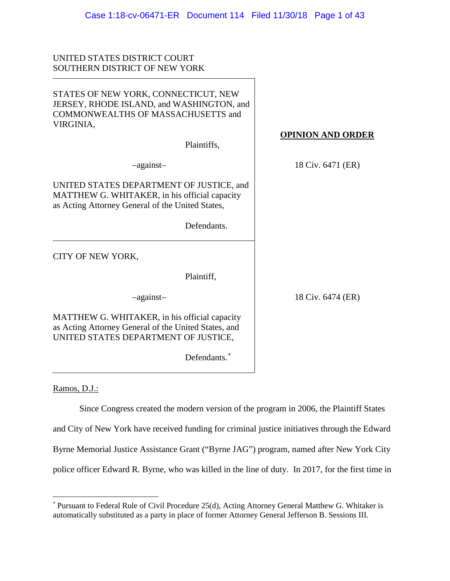# UNITED STATES DISTRICT COURT SOUTHERN DISTRICT OF NEW YORK

STATES OF NEW YORK, CONNECTICUT, NEW JERSEY, RHODE ISLAND, and WASHINGTON, and COMMONWEALTHS OF MASSACHUSETTS and VIRGINIA, Plaintiffs, –against– UNITED STATES DEPARTMENT OF JUSTICE, and MATTHEW G. WHITAKER, in his official capacity as Acting Attorney General of the United States, Defendants. **OPINION AND ORDER** 18 Civ. 6471 (ER) CITY OF NEW YORK, Plaintiff, –against– MATTHEW G. WHITAKER, in his official capacity as Acting Attorney General of the United States, and UNITED STATES DEPARTMENT OF JUSTICE, Defendants.[\\*](#page-0-0) 18 Civ. 6474 (ER)

Ramos, D.J.:

Since Congress created the modern version of the program in 2006, the Plaintiff States and City of New York have received funding for criminal justice initiatives through the Edward Byrne Memorial Justice Assistance Grant ("Byrne JAG") program, named after New York City police officer Edward R. Byrne, who was killed in the line of duty. In 2017, for the first time in

<span id="page-0-0"></span> <sup>\*</sup> Pursuant to Federal Rule of Civil Procedure 25(d), Acting Attorney General Matthew G. Whitaker is automatically substituted as a party in place of former Attorney General Jefferson B. Sessions III.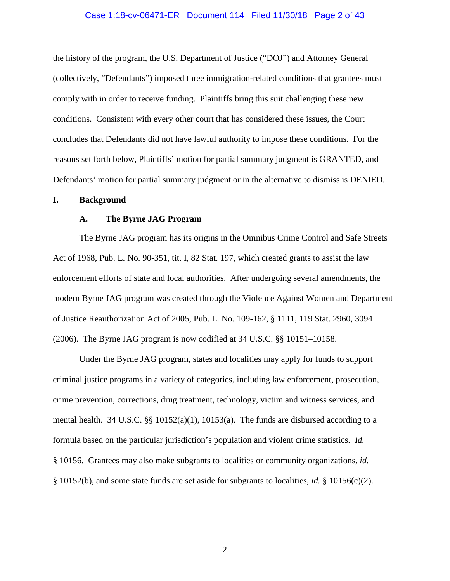#### Case 1:18-cv-06471-ER Document 114 Filed 11/30/18 Page 2 of 43

the history of the program, the U.S. Department of Justice ("DOJ") and Attorney General (collectively, "Defendants") imposed three immigration-related conditions that grantees must comply with in order to receive funding. Plaintiffs bring this suit challenging these new conditions. Consistent with every other court that has considered these issues, the Court concludes that Defendants did not have lawful authority to impose these conditions. For the reasons set forth below, Plaintiffs' motion for partial summary judgment is GRANTED, and Defendants' motion for partial summary judgment or in the alternative to dismiss is DENIED.

### **I. Background**

#### **A. The Byrne JAG Program**

The Byrne JAG program has its origins in the Omnibus Crime Control and Safe Streets Act of 1968, Pub. L. No. 90-351, tit. I, 82 Stat. 197, which created grants to assist the law enforcement efforts of state and local authorities. After undergoing several amendments, the modern Byrne JAG program was created through the Violence Against Women and Department of Justice Reauthorization Act of 2005, Pub. L. No. 109-162, § 1111, 119 Stat. 2960, 3094 (2006). The Byrne JAG program is now codified at 34 U.S.C. §§ 10151–10158.

Under the Byrne JAG program, states and localities may apply for funds to support criminal justice programs in a variety of categories, including law enforcement, prosecution, crime prevention, corrections, drug treatment, technology, victim and witness services, and mental health. 34 U.S.C. §§ 10152(a)(1), 10153(a). The funds are disbursed according to a formula based on the particular jurisdiction's population and violent crime statistics. *Id.* § 10156. Grantees may also make subgrants to localities or community organizations, *id.* § 10152(b), and some state funds are set aside for subgrants to localities, *id.* § 10156(c)(2).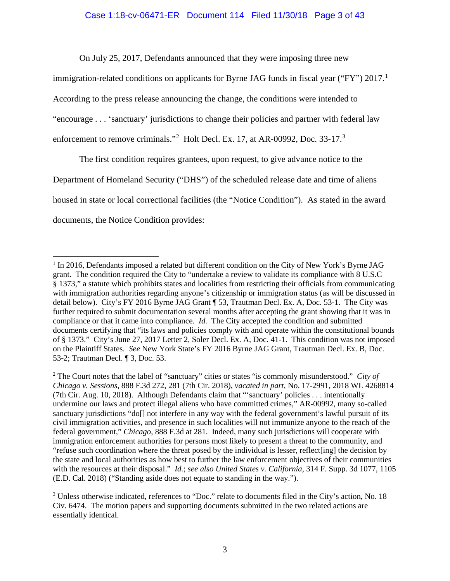### Case 1:18-cv-06471-ER Document 114 Filed 11/30/18 Page 3 of 43

On July 25, 2017, Defendants announced that they were imposing three new

immigration-related conditions on applicants for Byrne JAG funds in fiscal year ("FY")  $2017$  $2017$  $2017$ .<sup>1</sup> According to the press release announcing the change, the conditions were intended to "encourage . . . 'sanctuary' jurisdictions to change their policies and partner with federal law enforcement to remove criminals."<sup>[2](#page-2-1)</sup> Holt Decl. Ex. 17, at AR-00992, Doc. [3](#page-2-2)3-17.<sup>3</sup>

The first condition requires grantees, upon request, to give advance notice to the Department of Homeland Security ("DHS") of the scheduled release date and time of aliens housed in state or local correctional facilities (the "Notice Condition"). As stated in the award documents, the Notice Condition provides:

<span id="page-2-0"></span> <sup>1</sup> In 2016, Defendants imposed a related but different condition on the City of New York's Byrne JAG grant. The condition required the City to "undertake a review to validate its compliance with 8 U.S.C § 1373," a statute which prohibits states and localities from restricting their officials from communicating with immigration authorities regarding anyone's citizenship or immigration status (as will be discussed in detail below). City's FY 2016 Byrne JAG Grant ¶ 53, Trautman Decl. Ex. A, Doc. 53-1. The City was further required to submit documentation several months after accepting the grant showing that it was in compliance or that it came into compliance. *Id.* The City accepted the condition and submitted documents certifying that "its laws and policies comply with and operate within the constitutional bounds of § 1373." City's June 27, 2017 Letter 2, Soler Decl. Ex. A, Doc. 41-1. This condition was not imposed on the Plaintiff States. *See* New York State's FY 2016 Byrne JAG Grant, Trautman Decl. Ex. B, Doc. 53-2; Trautman Decl. ¶ 3, Doc. 53.

<span id="page-2-1"></span><sup>2</sup> The Court notes that the label of "sanctuary" cities or states "is commonly misunderstood." *City of Chicago v. Sessions*, 888 F.3d 272, 281 (7th Cir. 2018), *vacated in part*, No. 17-2991, 2018 WL 4268814 (7th Cir. Aug. 10, 2018). Although Defendants claim that "'sanctuary' policies . . . intentionally undermine our laws and protect illegal aliens who have committed crimes," AR-00992, many so-called sanctuary jurisdictions "do[] not interfere in any way with the federal government's lawful pursuit of its civil immigration activities, and presence in such localities will not immunize anyone to the reach of the federal government," *Chicago*, 888 F.3d at 281. Indeed, many such jurisdictions will cooperate with immigration enforcement authorities for persons most likely to present a threat to the community, and "refuse such coordination where the threat posed by the individual is lesser, reflect[ing] the decision by the state and local authorities as how best to further the law enforcement objectives of their communities with the resources at their disposal." *Id.*; *see also United States v. California*, 314 F. Supp. 3d 1077, 1105 (E.D. Cal. 2018) ("Standing aside does not equate to standing in the way.").

<span id="page-2-2"></span><sup>3</sup> Unless otherwise indicated, references to "Doc." relate to documents filed in the City's action, No. 18 Civ. 6474. The motion papers and supporting documents submitted in the two related actions are essentially identical.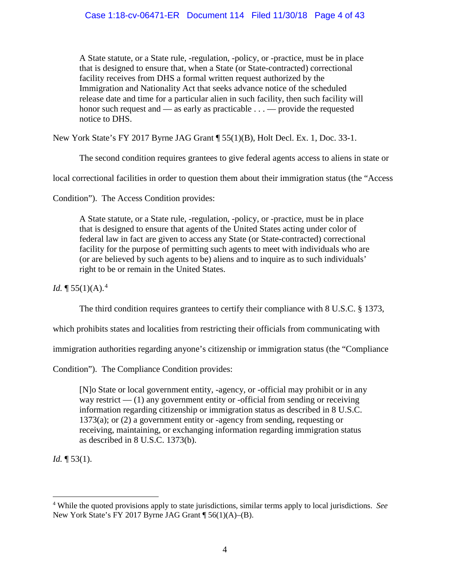A State statute, or a State rule, -regulation, -policy, or -practice, must be in place that is designed to ensure that, when a State (or State-contracted) correctional facility receives from DHS a formal written request authorized by the Immigration and Nationality Act that seeks advance notice of the scheduled release date and time for a particular alien in such facility, then such facility will honor such request and — as early as practicable . . . — provide the requested notice to DHS.

New York State's FY 2017 Byrne JAG Grant ¶ 55(1)(B), Holt Decl. Ex. 1, Doc. 33-1.

The second condition requires grantees to give federal agents access to aliens in state or

local correctional facilities in order to question them about their immigration status (the "Access

Condition"). The Access Condition provides:

A State statute, or a State rule, -regulation, -policy, or -practice, must be in place that is designed to ensure that agents of the United States acting under color of federal law in fact are given to access any State (or State-contracted) correctional facility for the purpose of permitting such agents to meet with individuals who are (or are believed by such agents to be) aliens and to inquire as to such individuals' right to be or remain in the United States.

*Id.*  $\P$  55(1)(A).<sup>[4](#page-3-0)</sup>

The third condition requires grantees to certify their compliance with 8 U.S.C. § 1373,

which prohibits states and localities from restricting their officials from communicating with

immigration authorities regarding anyone's citizenship or immigration status (the "Compliance

Condition"). The Compliance Condition provides:

[N]o State or local government entity, -agency, or -official may prohibit or in any way restrict  $-$  (1) any government entity or -official from sending or receiving information regarding citizenship or immigration status as described in 8 U.S.C. 1373(a); or (2) a government entity or -agency from sending, requesting or receiving, maintaining, or exchanging information regarding immigration status as described in 8 U.S.C. 1373(b).

*Id.*  $\sqrt{53(1)}$ .

<span id="page-3-0"></span> <sup>4</sup> While the quoted provisions apply to state jurisdictions, similar terms apply to local jurisdictions. *See* New York State's FY 2017 Byrne JAG Grant ¶ 56(1)(A)–(B).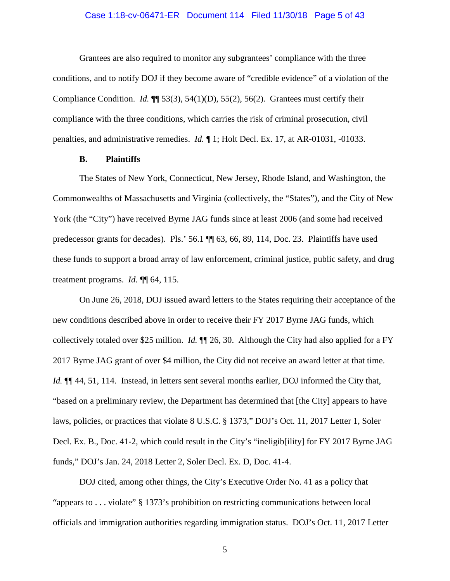#### Case 1:18-cv-06471-ER Document 114 Filed 11/30/18 Page 5 of 43

Grantees are also required to monitor any subgrantees' compliance with the three conditions, and to notify DOJ if they become aware of "credible evidence" of a violation of the Compliance Condition. *Id.* ¶¶ 53(3), 54(1)(D), 55(2), 56(2). Grantees must certify their compliance with the three conditions, which carries the risk of criminal prosecution, civil penalties, and administrative remedies. *Id.* ¶ 1; Holt Decl. Ex. 17, at AR-01031, -01033.

### **B. Plaintiffs**

The States of New York, Connecticut, New Jersey, Rhode Island, and Washington, the Commonwealths of Massachusetts and Virginia (collectively, the "States"), and the City of New York (the "City") have received Byrne JAG funds since at least 2006 (and some had received predecessor grants for decades). Pls.' 56.1 ¶¶ 63, 66, 89, 114, Doc. 23. Plaintiffs have used these funds to support a broad array of law enforcement, criminal justice, public safety, and drug treatment programs. *Id.* ¶¶ 64, 115.

On June 26, 2018, DOJ issued award letters to the States requiring their acceptance of the new conditions described above in order to receive their FY 2017 Byrne JAG funds, which collectively totaled over \$25 million. *Id.* ¶¶ 26, 30. Although the City had also applied for a FY 2017 Byrne JAG grant of over \$4 million, the City did not receive an award letter at that time. *Id.*  $\P\P$  44, 51, 114. Instead, in letters sent several months earlier, DOJ informed the City that, "based on a preliminary review, the Department has determined that [the City] appears to have laws, policies, or practices that violate 8 U.S.C. § 1373," DOJ's Oct. 11, 2017 Letter 1, Soler Decl. Ex. B., Doc. 41-2, which could result in the City's "ineligib[ility] for FY 2017 Byrne JAG funds," DOJ's Jan. 24, 2018 Letter 2, Soler Decl. Ex. D, Doc. 41-4.

DOJ cited, among other things, the City's Executive Order No. 41 as a policy that "appears to . . . violate" § 1373's prohibition on restricting communications between local officials and immigration authorities regarding immigration status. DOJ's Oct. 11, 2017 Letter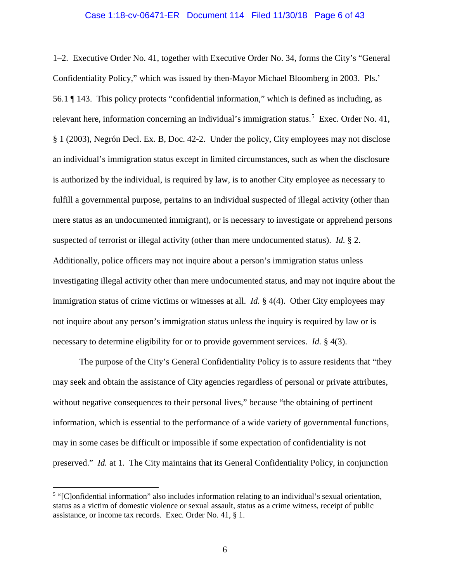#### Case 1:18-cv-06471-ER Document 114 Filed 11/30/18 Page 6 of 43

1–2. Executive Order No. 41, together with Executive Order No. 34, forms the City's "General Confidentiality Policy," which was issued by then-Mayor Michael Bloomberg in 2003. Pls.' 56.1 ¶ 143. This policy protects "confidential information," which is defined as including, as relevant here, information concerning an individual's immigration status.<sup>[5](#page-5-0)</sup> Exec. Order No. 41, § 1 (2003), Negrón Decl. Ex. B, Doc. 42-2. Under the policy, City employees may not disclose an individual's immigration status except in limited circumstances, such as when the disclosure is authorized by the individual, is required by law, is to another City employee as necessary to fulfill a governmental purpose, pertains to an individual suspected of illegal activity (other than mere status as an undocumented immigrant), or is necessary to investigate or apprehend persons suspected of terrorist or illegal activity (other than mere undocumented status). *Id.* § 2. Additionally, police officers may not inquire about a person's immigration status unless investigating illegal activity other than mere undocumented status, and may not inquire about the immigration status of crime victims or witnesses at all. *Id.* § 4(4). Other City employees may not inquire about any person's immigration status unless the inquiry is required by law or is necessary to determine eligibility for or to provide government services. *Id.* § 4(3).

The purpose of the City's General Confidentiality Policy is to assure residents that "they may seek and obtain the assistance of City agencies regardless of personal or private attributes, without negative consequences to their personal lives," because "the obtaining of pertinent information, which is essential to the performance of a wide variety of governmental functions, may in some cases be difficult or impossible if some expectation of confidentiality is not preserved." *Id.* at 1. The City maintains that its General Confidentiality Policy, in conjunction

<span id="page-5-0"></span><sup>&</sup>lt;sup>5</sup> "[C]onfidential information" also includes information relating to an individual's sexual orientation, status as a victim of domestic violence or sexual assault, status as a crime witness, receipt of public assistance, or income tax records. Exec. Order No. 41, § 1.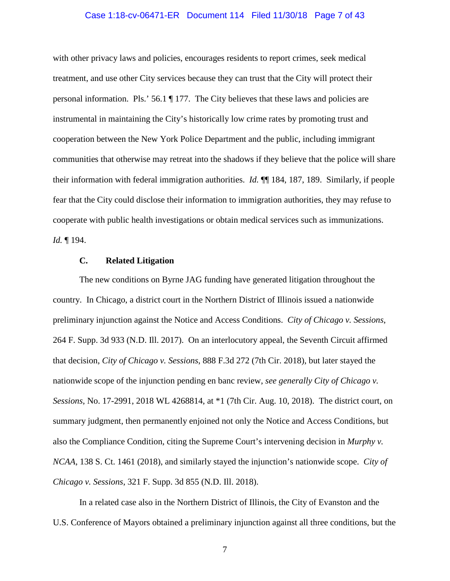#### Case 1:18-cv-06471-ER Document 114 Filed 11/30/18 Page 7 of 43

with other privacy laws and policies, encourages residents to report crimes, seek medical treatment, and use other City services because they can trust that the City will protect their personal information. Pls.' 56.1 ¶ 177. The City believes that these laws and policies are instrumental in maintaining the City's historically low crime rates by promoting trust and cooperation between the New York Police Department and the public, including immigrant communities that otherwise may retreat into the shadows if they believe that the police will share their information with federal immigration authorities. *Id.* ¶¶ 184, 187, 189. Similarly, if people fear that the City could disclose their information to immigration authorities, they may refuse to cooperate with public health investigations or obtain medical services such as immunizations. *Id.* ¶ 194.

#### **C. Related Litigation**

The new conditions on Byrne JAG funding have generated litigation throughout the country. In Chicago, a district court in the Northern District of Illinois issued a nationwide preliminary injunction against the Notice and Access Conditions. *City of Chicago v. Sessions*, 264 F. Supp. 3d 933 (N.D. Ill. 2017). On an interlocutory appeal, the Seventh Circuit affirmed that decision, *City of Chicago v. Sessions*, 888 F.3d 272 (7th Cir. 2018), but later stayed the nationwide scope of the injunction pending en banc review, *see generally City of Chicago v. Sessions*, No. 17-2991, 2018 WL 4268814, at \*1 (7th Cir. Aug. 10, 2018). The district court, on summary judgment, then permanently enjoined not only the Notice and Access Conditions, but also the Compliance Condition, citing the Supreme Court's intervening decision in *Murphy v. NCAA*, 138 S. Ct. 1461 (2018), and similarly stayed the injunction's nationwide scope. *City of Chicago v. Sessions*, 321 F. Supp. 3d 855 (N.D. Ill. 2018).

In a related case also in the Northern District of Illinois, the City of Evanston and the U.S. Conference of Mayors obtained a preliminary injunction against all three conditions, but the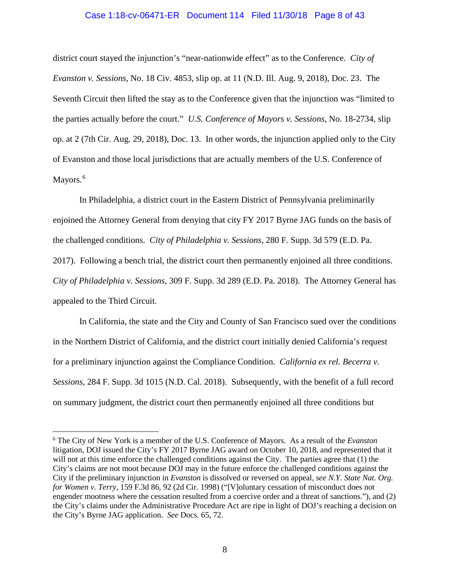#### Case 1:18-cv-06471-ER Document 114 Filed 11/30/18 Page 8 of 43

district court stayed the injunction's "near-nationwide effect" as to the Conference. *City of Evanston v. Sessions*, No. 18 Civ. 4853, slip op. at 11 (N.D. Ill. Aug. 9, 2018), Doc. 23. The Seventh Circuit then lifted the stay as to the Conference given that the injunction was "limited to the parties actually before the court." *U.S. Conference of Mayors v. Sessions*, No. 18-2734, slip op. at 2 (7th Cir. Aug. 29, 2018), Doc. 13. In other words, the injunction applied only to the City of Evanston and those local jurisdictions that are actually members of the U.S. Conference of Mayors.<sup>[6](#page-7-0)</sup>

In Philadelphia, a district court in the Eastern District of Pennsylvania preliminarily enjoined the Attorney General from denying that city FY 2017 Byrne JAG funds on the basis of the challenged conditions. *City of Philadelphia v. Sessions*, 280 F. Supp. 3d 579 (E.D. Pa. 2017). Following a bench trial, the district court then permanently enjoined all three conditions. *City of Philadelphia v. Sessions*, 309 F. Supp. 3d 289 (E.D. Pa. 2018). The Attorney General has appealed to the Third Circuit.

In California, the state and the City and County of San Francisco sued over the conditions in the Northern District of California, and the district court initially denied California's request for a preliminary injunction against the Compliance Condition. *California ex rel. Becerra v. Sessions*, 284 F. Supp. 3d 1015 (N.D. Cal. 2018). Subsequently, with the benefit of a full record on summary judgment, the district court then permanently enjoined all three conditions but

<span id="page-7-0"></span> <sup>6</sup> The City of New York is a member of the U.S. Conference of Mayors. As a result of the *Evanston* litigation, DOJ issued the City's FY 2017 Byrne JAG award on October 10, 2018, and represented that it will not at this time enforce the challenged conditions against the City. The parties agree that (1) the City's claims are not moot because DOJ may in the future enforce the challenged conditions against the City if the preliminary injunction in *Evanston* is dissolved or reversed on appeal, *see N.Y. State Nat. Org. for Women v. Terry*, 159 F.3d 86, 92 (2d Cir. 1998) ("[V]oluntary cessation of misconduct does not engender mootness where the cessation resulted from a coercive order and a threat of sanctions."), and (2) the City's claims under the Administrative Procedure Act are ripe in light of DOJ's reaching a decision on the City's Byrne JAG application. *See* Docs. 65, 72.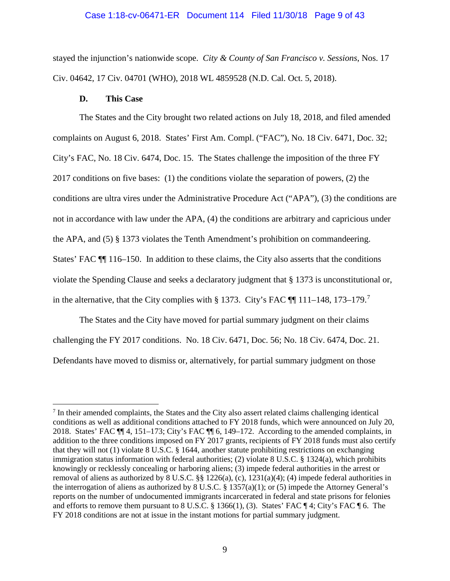#### Case 1:18-cv-06471-ER Document 114 Filed 11/30/18 Page 9 of 43

stayed the injunction's nationwide scope. *City & County of San Francisco v. Sessions*, Nos. 17 Civ. 04642, 17 Civ. 04701 (WHO), 2018 WL 4859528 (N.D. Cal. Oct. 5, 2018).

### **D. This Case**

The States and the City brought two related actions on July 18, 2018, and filed amended complaints on August 6, 2018. States' First Am. Compl. ("FAC"), No. 18 Civ. 6471, Doc. 32; City's FAC, No. 18 Civ. 6474, Doc. 15. The States challenge the imposition of the three FY 2017 conditions on five bases: (1) the conditions violate the separation of powers, (2) the conditions are ultra vires under the Administrative Procedure Act ("APA"), (3) the conditions are not in accordance with law under the APA, (4) the conditions are arbitrary and capricious under the APA, and (5) § 1373 violates the Tenth Amendment's prohibition on commandeering. States' FAC ¶¶ 116–150. In addition to these claims, the City also asserts that the conditions violate the Spending Clause and seeks a declaratory judgment that § 1373 is unconstitutional or, in the alternative, that the City complies with § 13[7](#page-8-0)3. City's FAC  $\P$  111–148, 173–179.<sup>7</sup>

The States and the City have moved for partial summary judgment on their claims challenging the FY 2017 conditions. No. 18 Civ. 6471, Doc. 56; No. 18 Civ. 6474, Doc. 21. Defendants have moved to dismiss or, alternatively, for partial summary judgment on those

<span id="page-8-0"></span> <sup>7</sup> In their amended complaints, the States and the City also assert related claims challenging identical conditions as well as additional conditions attached to FY 2018 funds, which were announced on July 20, 2018. States' FAC ¶¶ 4, 151–173; City's FAC ¶¶ 6, 149–172. According to the amended complaints, in addition to the three conditions imposed on FY 2017 grants, recipients of FY 2018 funds must also certify that they will not (1) violate 8 U.S.C. § 1644, another statute prohibiting restrictions on exchanging immigration status information with federal authorities; (2) violate 8 U.S.C. § 1324(a), which prohibits knowingly or recklessly concealing or harboring aliens; (3) impede federal authorities in the arrest or removal of aliens as authorized by 8 U.S.C. §§ 1226(a), (c), 1231(a)(4); (4) impede federal authorities in the interrogation of aliens as authorized by 8 U.S.C. § 1357(a)(1); or (5) impede the Attorney General's reports on the number of undocumented immigrants incarcerated in federal and state prisons for felonies and efforts to remove them pursuant to 8 U.S.C.  $\S$  1366(1), (3). States' FAC  $\P$ 4; City's FAC  $\P$ 6. The FY 2018 conditions are not at issue in the instant motions for partial summary judgment.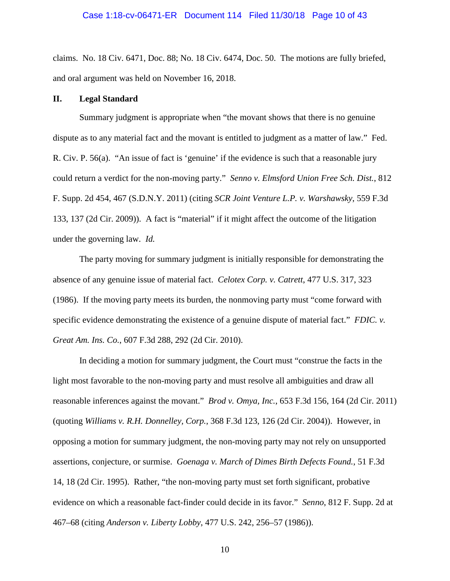claims. No. 18 Civ. 6471, Doc. 88; No. 18 Civ. 6474, Doc. 50. The motions are fully briefed, and oral argument was held on November 16, 2018.

### **II. Legal Standard**

Summary judgment is appropriate when "the movant shows that there is no genuine dispute as to any material fact and the movant is entitled to judgment as a matter of law." Fed. R. Civ. P. 56(a). "An issue of fact is 'genuine' if the evidence is such that a reasonable jury could return a verdict for the non-moving party." *Senno v. Elmsford Union Free Sch. Dist.*, 812 F. Supp. 2d 454, 467 (S.D.N.Y. 2011) (citing *SCR Joint Venture L.P. v. Warshawsky*, 559 F.3d 133, 137 (2d Cir. 2009)). A fact is "material" if it might affect the outcome of the litigation under the governing law. *Id.*

The party moving for summary judgment is initially responsible for demonstrating the absence of any genuine issue of material fact. *Celotex Corp. v. Catrett*, 477 U.S. 317, 323 (1986). If the moving party meets its burden, the nonmoving party must "come forward with specific evidence demonstrating the existence of a genuine dispute of material fact." *FDIC. v. Great Am. Ins. Co.*, 607 F.3d 288, 292 (2d Cir. 2010).

In deciding a motion for summary judgment, the Court must "construe the facts in the light most favorable to the non-moving party and must resolve all ambiguities and draw all reasonable inferences against the movant." *Brod v. Omya, Inc.*, 653 F.3d 156, 164 (2d Cir. 2011) (quoting *Williams v. R.H. Donnelley, Corp.*, 368 F.3d 123, 126 (2d Cir. 2004)). However, in opposing a motion for summary judgment, the non-moving party may not rely on unsupported assertions, conjecture, or surmise. *Goenaga v. March of Dimes Birth Defects Found.*, 51 F.3d 14, 18 (2d Cir. 1995). Rather, "the non-moving party must set forth significant, probative evidence on which a reasonable fact-finder could decide in its favor." *Senno*, 812 F. Supp. 2d at 467–68 (citing *Anderson v. Liberty Lobby*, 477 U.S. 242, 256–57 (1986)).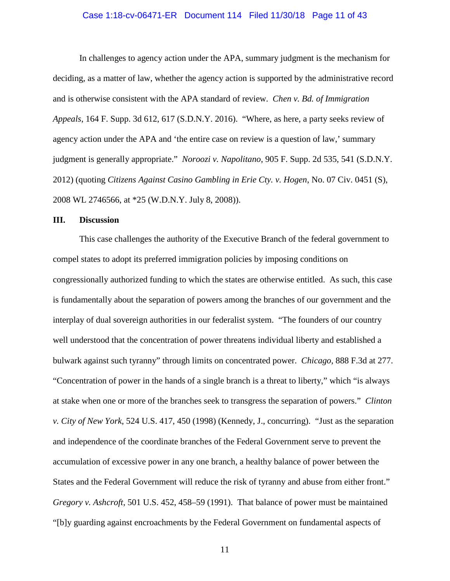#### Case 1:18-cv-06471-ER Document 114 Filed 11/30/18 Page 11 of 43

In challenges to agency action under the APA, summary judgment is the mechanism for deciding, as a matter of law, whether the agency action is supported by the administrative record and is otherwise consistent with the APA standard of review. *Chen v. Bd. of Immigration Appeals*, 164 F. Supp. 3d 612, 617 (S.D.N.Y. 2016). "Where, as here, a party seeks review of agency action under the APA and 'the entire case on review is a question of law,' summary judgment is generally appropriate." *Noroozi v. Napolitano*, 905 F. Supp. 2d 535, 541 (S.D.N.Y. 2012) (quoting *Citizens Against Casino Gambling in Erie Cty. v. Hogen*, No. 07 Civ. 0451 (S), 2008 WL 2746566, at \*25 (W.D.N.Y. July 8, 2008)).

### **III. Discussion**

This case challenges the authority of the Executive Branch of the federal government to compel states to adopt its preferred immigration policies by imposing conditions on congressionally authorized funding to which the states are otherwise entitled. As such, this case is fundamentally about the separation of powers among the branches of our government and the interplay of dual sovereign authorities in our federalist system. "The founders of our country well understood that the concentration of power threatens individual liberty and established a bulwark against such tyranny" through limits on concentrated power. *Chicago*, 888 F.3d at 277. "Concentration of power in the hands of a single branch is a threat to liberty," which "is always at stake when one or more of the branches seek to transgress the separation of powers." *Clinton v. City of New York*, 524 U.S. 417, 450 (1998) (Kennedy, J., concurring). "Just as the separation and independence of the coordinate branches of the Federal Government serve to prevent the accumulation of excessive power in any one branch, a healthy balance of power between the States and the Federal Government will reduce the risk of tyranny and abuse from either front." *Gregory v. Ashcroft*, 501 U.S. 452, 458–59 (1991). That balance of power must be maintained "[b]y guarding against encroachments by the Federal Government on fundamental aspects of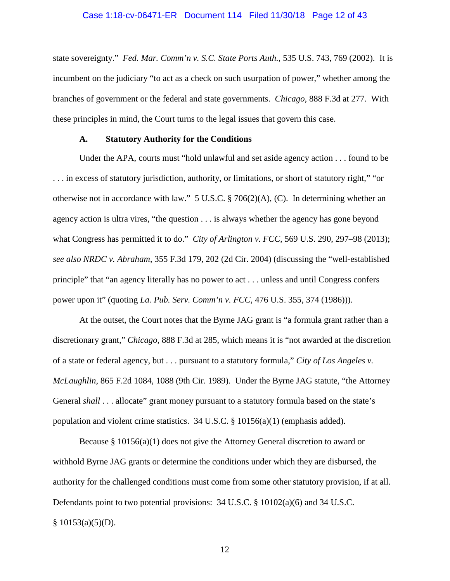#### Case 1:18-cv-06471-ER Document 114 Filed 11/30/18 Page 12 of 43

state sovereignty." *Fed. Mar. Comm'n v. S.C. State Ports Auth.*, 535 U.S. 743, 769 (2002). It is incumbent on the judiciary "to act as a check on such usurpation of power," whether among the branches of government or the federal and state governments. *Chicago*, 888 F.3d at 277. With these principles in mind, the Court turns to the legal issues that govern this case.

#### **A. Statutory Authority for the Conditions**

Under the APA, courts must "hold unlawful and set aside agency action . . . found to be . . . in excess of statutory jurisdiction, authority, or limitations, or short of statutory right," "or otherwise not in accordance with law." 5 U.S.C. § 706(2)(A), (C). In determining whether an agency action is ultra vires, "the question . . . is always whether the agency has gone beyond what Congress has permitted it to do." *City of Arlington v. FCC*, 569 U.S. 290, 297–98 (2013); *see also NRDC v. Abraham*, 355 F.3d 179, 202 (2d Cir. 2004) (discussing the "well-established principle" that "an agency literally has no power to act . . . unless and until Congress confers power upon it" (quoting *La. Pub. Serv. Comm'n v. FCC*, 476 U.S. 355, 374 (1986))).

At the outset, the Court notes that the Byrne JAG grant is "a formula grant rather than a discretionary grant," *Chicago*, 888 F.3d at 285, which means it is "not awarded at the discretion of a state or federal agency, but . . . pursuant to a statutory formula," *City of Los Angeles v. McLaughlin*, 865 F.2d 1084, 1088 (9th Cir. 1989). Under the Byrne JAG statute, "the Attorney General *shall* . . . allocate" grant money pursuant to a statutory formula based on the state's population and violent crime statistics.  $34 \text{ U.S.C.}$  §  $10156(a)(1)$  (emphasis added).

Because § 10156(a)(1) does not give the Attorney General discretion to award or withhold Byrne JAG grants or determine the conditions under which they are disbursed, the authority for the challenged conditions must come from some other statutory provision, if at all. Defendants point to two potential provisions:  $34 \text{ U.S.C.}$  §  $10102(a)(6)$  and  $34 \text{ U.S.C.}$  $§ 10153(a)(5)(D).$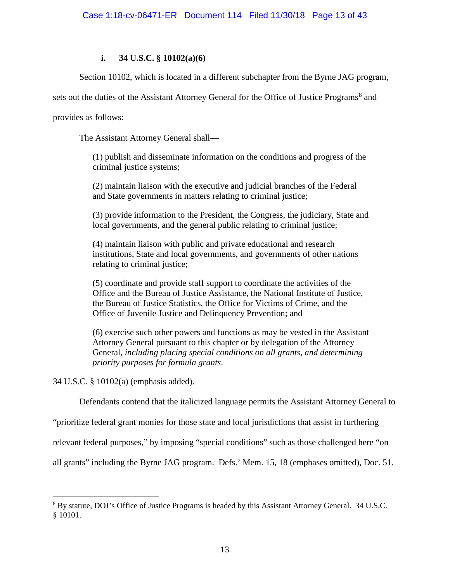# **i. 34 U.S.C. § 10102(a)(6)**

Section 10102, which is located in a different subchapter from the Byrne JAG program,

sets out the duties of the Assistant Attorney General for the Office of Justice Programs<sup>[8](#page-12-0)</sup> and

provides as follows:

The Assistant Attorney General shall—

(1) publish and disseminate information on the conditions and progress of the criminal justice systems;

(2) maintain liaison with the executive and judicial branches of the Federal and State governments in matters relating to criminal justice;

(3) provide information to the President, the Congress, the judiciary, State and local governments, and the general public relating to criminal justice;

(4) maintain liaison with public and private educational and research institutions, State and local governments, and governments of other nations relating to criminal justice;

(5) coordinate and provide staff support to coordinate the activities of the Office and the Bureau of Justice Assistance, the National Institute of Justice, the Bureau of Justice Statistics, the Office for Victims of Crime, and the Office of Juvenile Justice and Delinquency Prevention; and

(6) exercise such other powers and functions as may be vested in the Assistant Attorney General pursuant to this chapter or by delegation of the Attorney General, *including placing special conditions on all grants, and determining priority purposes for formula grants*.

34 U.S.C. § 10102(a) (emphasis added).

Defendants contend that the italicized language permits the Assistant Attorney General to

"prioritize federal grant monies for those state and local jurisdictions that assist in furthering

relevant federal purposes," by imposing "special conditions" such as those challenged here "on

all grants" including the Byrne JAG program. Defs.' Mem. 15, 18 (emphases omitted), Doc. 51.

<span id="page-12-0"></span> <sup>8</sup> By statute, DOJ's Office of Justice Programs is headed by this Assistant Attorney General. 34 U.S.C. § 10101.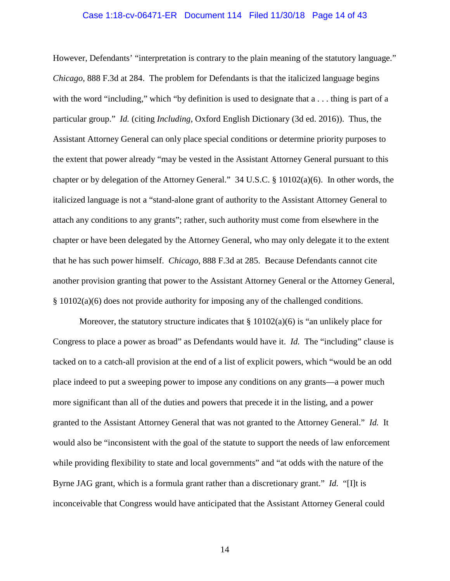#### Case 1:18-cv-06471-ER Document 114 Filed 11/30/18 Page 14 of 43

However, Defendants' "interpretation is contrary to the plain meaning of the statutory language." *Chicago*, 888 F.3d at 284. The problem for Defendants is that the italicized language begins with the word "including," which "by definition is used to designate that a . . . thing is part of a particular group." *Id.* (citing *Including*, Oxford English Dictionary (3d ed. 2016)). Thus, the Assistant Attorney General can only place special conditions or determine priority purposes to the extent that power already "may be vested in the Assistant Attorney General pursuant to this chapter or by delegation of the Attorney General." 34 U.S.C. § 10102(a)(6). In other words, the italicized language is not a "stand-alone grant of authority to the Assistant Attorney General to attach any conditions to any grants"; rather, such authority must come from elsewhere in the chapter or have been delegated by the Attorney General, who may only delegate it to the extent that he has such power himself. *Chicago*, 888 F.3d at 285. Because Defendants cannot cite another provision granting that power to the Assistant Attorney General or the Attorney General, § 10102(a)(6) does not provide authority for imposing any of the challenged conditions.

Moreover, the statutory structure indicates that  $\S 10102(a)(6)$  is "an unlikely place for Congress to place a power as broad" as Defendants would have it. *Id.* The "including" clause is tacked on to a catch-all provision at the end of a list of explicit powers, which "would be an odd place indeed to put a sweeping power to impose any conditions on any grants—a power much more significant than all of the duties and powers that precede it in the listing, and a power granted to the Assistant Attorney General that was not granted to the Attorney General." *Id.* It would also be "inconsistent with the goal of the statute to support the needs of law enforcement while providing flexibility to state and local governments" and "at odds with the nature of the Byrne JAG grant, which is a formula grant rather than a discretionary grant." *Id.* "[I]t is inconceivable that Congress would have anticipated that the Assistant Attorney General could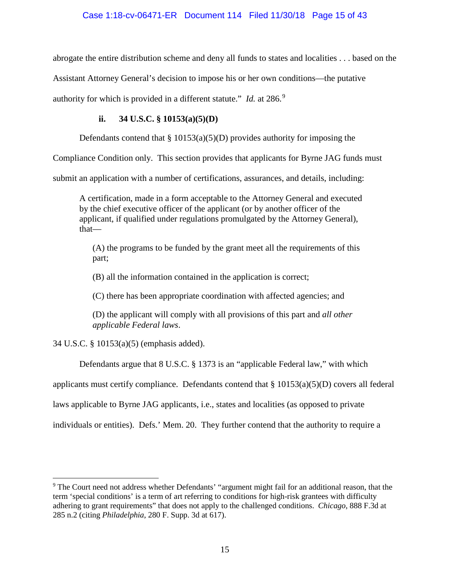abrogate the entire distribution scheme and deny all funds to states and localities . . . based on the

Assistant Attorney General's decision to impose his or her own conditions—the putative

authority for which is provided in a different statute." *Id.* at 286.<sup>[9](#page-14-0)</sup>

# **ii. 34 U.S.C. § 10153(a)(5)(D)**

Defendants contend that  $\S 10153(a)(5)(D)$  provides authority for imposing the

Compliance Condition only. This section provides that applicants for Byrne JAG funds must

submit an application with a number of certifications, assurances, and details, including:

A certification, made in a form acceptable to the Attorney General and executed by the chief executive officer of the applicant (or by another officer of the applicant, if qualified under regulations promulgated by the Attorney General), that—

(A) the programs to be funded by the grant meet all the requirements of this part;

(B) all the information contained in the application is correct;

(C) there has been appropriate coordination with affected agencies; and

(D) the applicant will comply with all provisions of this part and *all other applicable Federal laws*.

34 U.S.C. § 10153(a)(5) (emphasis added).

Defendants argue that 8 U.S.C. § 1373 is an "applicable Federal law," with which

applicants must certify compliance. Defendants contend that § 10153(a)(5)(D) covers all federal

laws applicable to Byrne JAG applicants, i.e., states and localities (as opposed to private

individuals or entities). Defs.' Mem. 20. They further contend that the authority to require a

<span id="page-14-0"></span> <sup>9</sup> The Court need not address whether Defendants' "argument might fail for an additional reason, that the term 'special conditions' is a term of art referring to conditions for high-risk grantees with difficulty adhering to grant requirements" that does not apply to the challenged conditions. *Chicago*, 888 F.3d at 285 n.2 (citing *Philadelphia*, 280 F. Supp. 3d at 617).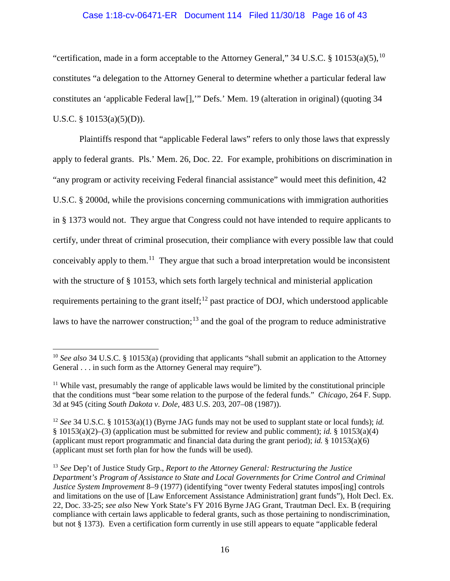### Case 1:18-cv-06471-ER Document 114 Filed 11/30/18 Page 16 of 43

"certification, made in a form acceptable to the Attorney General," 34 U.S.C. § [10](#page-15-0)153(a)(5),  $^{10}$ constitutes "a delegation to the Attorney General to determine whether a particular federal law constitutes an 'applicable Federal law[],'" Defs.' Mem. 19 (alteration in original) (quoting 34 U.S.C. § 10153(a)(5)(D)).

Plaintiffs respond that "applicable Federal laws" refers to only those laws that expressly apply to federal grants. Pls.' Mem. 26, Doc. 22. For example, prohibitions on discrimination in "any program or activity receiving Federal financial assistance" would meet this definition, 42 U.S.C. § 2000d, while the provisions concerning communications with immigration authorities in § 1373 would not. They argue that Congress could not have intended to require applicants to certify, under threat of criminal prosecution, their compliance with every possible law that could conceivably apply to them.<sup>11</sup> They argue that such a broad interpretation would be inconsistent with the structure of § 10153, which sets forth largely technical and ministerial application requirements pertaining to the grant itself;  $12$  past practice of DOJ, which understood applicable laws to have the narrower construction;<sup>[13](#page-15-3)</sup> and the goal of the program to reduce administrative

<span id="page-15-0"></span><sup>&</sup>lt;sup>10</sup> *See also* 34 U.S.C. § 10153(a) (providing that applicants "shall submit an application to the Attorney General . . . in such form as the Attorney General may require").

<span id="page-15-1"></span> $11$  While vast, presumably the range of applicable laws would be limited by the constitutional principle that the conditions must "bear some relation to the purpose of the federal funds." *Chicago*, 264 F. Supp. 3d at 945 (citing *South Dakota v. Dole*, 483 U.S. 203, 207–08 (1987)).

<span id="page-15-2"></span><sup>12</sup> *See* 34 U.S.C. § 10153(a)(1) (Byrne JAG funds may not be used to supplant state or local funds); *id.* § 10153(a)(2)–(3) (application must be submitted for review and public comment); *id.* § 10153(a)(4) (applicant must report programmatic and financial data during the grant period); *id.* § 10153(a)(6) (applicant must set forth plan for how the funds will be used).

<span id="page-15-3"></span><sup>13</sup> *See* Dep't of Justice Study Grp., *Report to the Attorney General: Restructuring the Justice Department's Program of Assistance to State and Local Governments for Crime Control and Criminal Justice System Improvement* 8–9 (1977) (identifying "over twenty Federal statutes impos[ing] controls and limitations on the use of [Law Enforcement Assistance Administration] grant funds"), Holt Decl. Ex. 22, Doc. 33-25; *see also* New York State's FY 2016 Byrne JAG Grant, Trautman Decl. Ex. B (requiring compliance with certain laws applicable to federal grants, such as those pertaining to nondiscrimination, but not § 1373). Even a certification form currently in use still appears to equate "applicable federal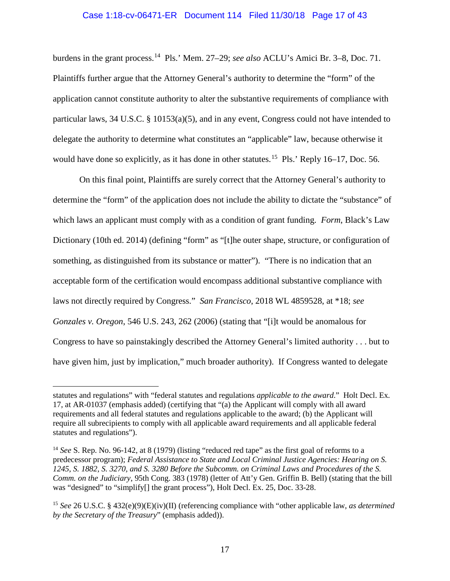### Case 1:18-cv-06471-ER Document 114 Filed 11/30/18 Page 17 of 43

burdens in the grant process.[14](#page-16-0) Pls.' Mem. 27–29; *see also* ACLU's Amici Br. 3–8, Doc. 71. Plaintiffs further argue that the Attorney General's authority to determine the "form" of the application cannot constitute authority to alter the substantive requirements of compliance with particular laws, 34 U.S.C. § 10153(a)(5), and in any event, Congress could not have intended to delegate the authority to determine what constitutes an "applicable" law, because otherwise it would have done so explicitly, as it has done in other statutes.<sup>15</sup> Pls.' Reply 16–17, Doc. 56.

On this final point, Plaintiffs are surely correct that the Attorney General's authority to determine the "form" of the application does not include the ability to dictate the "substance" of which laws an applicant must comply with as a condition of grant funding. *Form*, Black's Law Dictionary (10th ed. 2014) (defining "form" as "[t]he outer shape, structure, or configuration of something, as distinguished from its substance or matter"). "There is no indication that an acceptable form of the certification would encompass additional substantive compliance with laws not directly required by Congress." *San Francisco*, 2018 WL 4859528, at \*18; *see Gonzales v. Oregon*, 546 U.S. 243, 262 (2006) (stating that "[i]t would be anomalous for Congress to have so painstakingly described the Attorney General's limited authority . . . but to have given him, just by implication," much broader authority). If Congress wanted to delegate

 $\overline{a}$ 

statutes and regulations" with "federal statutes and regulations *applicable to the award*." Holt Decl. Ex. 17, at AR-01037 (emphasis added) (certifying that "(a) the Applicant will comply with all award requirements and all federal statutes and regulations applicable to the award; (b) the Applicant will require all subrecipients to comply with all applicable award requirements and all applicable federal statutes and regulations").

<span id="page-16-0"></span><sup>14</sup> *See* S. Rep. No. 96-142, at 8 (1979) (listing "reduced red tape" as the first goal of reforms to a predecessor program); *Federal Assistance to State and Local Criminal Justice Agencies: Hearing on S. 1245, S. 1882, S. 3270, and S. 3280 Before the Subcomm. on Criminal Laws and Procedures of the S. Comm. on the Judiciary*, 95th Cong. 383 (1978) (letter of Att'y Gen. Griffin B. Bell) (stating that the bill was "designed" to "simplify[] the grant process"), Holt Decl. Ex. 25, Doc. 33-28.

<span id="page-16-1"></span><sup>15</sup> *See* 26 U.S.C. § 432(e)(9)(E)(iv)(II) (referencing compliance with "other applicable law, *as determined by the Secretary of the Treasury*" (emphasis added)).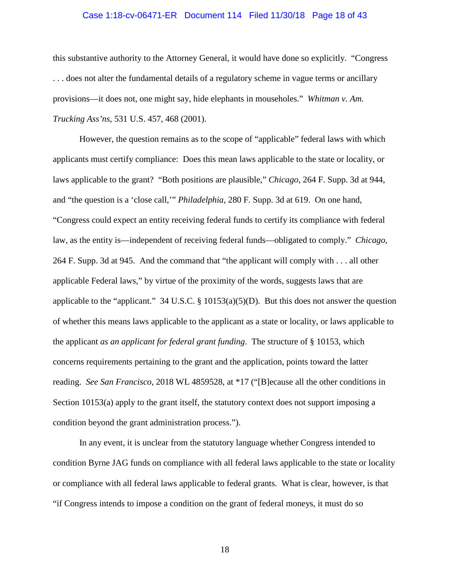#### Case 1:18-cv-06471-ER Document 114 Filed 11/30/18 Page 18 of 43

this substantive authority to the Attorney General, it would have done so explicitly. "Congress . . . does not alter the fundamental details of a regulatory scheme in vague terms or ancillary provisions—it does not, one might say, hide elephants in mouseholes." *Whitman v. Am. Trucking Ass'ns*, 531 U.S. 457, 468 (2001).

However, the question remains as to the scope of "applicable" federal laws with which applicants must certify compliance: Does this mean laws applicable to the state or locality, or laws applicable to the grant? "Both positions are plausible," *Chicago*, 264 F. Supp. 3d at 944, and "the question is a 'close call,'" *Philadelphia*, 280 F. Supp. 3d at 619. On one hand, "Congress could expect an entity receiving federal funds to certify its compliance with federal law, as the entity is—independent of receiving federal funds—obligated to comply." *Chicago*, 264 F. Supp. 3d at 945. And the command that "the applicant will comply with . . . all other applicable Federal laws," by virtue of the proximity of the words, suggests laws that are applicable to the "applicant." 34 U.S.C. § 10153(a)(5)(D). But this does not answer the question of whether this means laws applicable to the applicant as a state or locality, or laws applicable to the applicant *as an applicant for federal grant funding*. The structure of § 10153, which concerns requirements pertaining to the grant and the application, points toward the latter reading. *See San Francisco*, 2018 WL 4859528, at \*17 ("[B]ecause all the other conditions in Section 10153(a) apply to the grant itself, the statutory context does not support imposing a condition beyond the grant administration process.").

In any event, it is unclear from the statutory language whether Congress intended to condition Byrne JAG funds on compliance with all federal laws applicable to the state or locality or compliance with all federal laws applicable to federal grants. What is clear, however, is that "if Congress intends to impose a condition on the grant of federal moneys, it must do so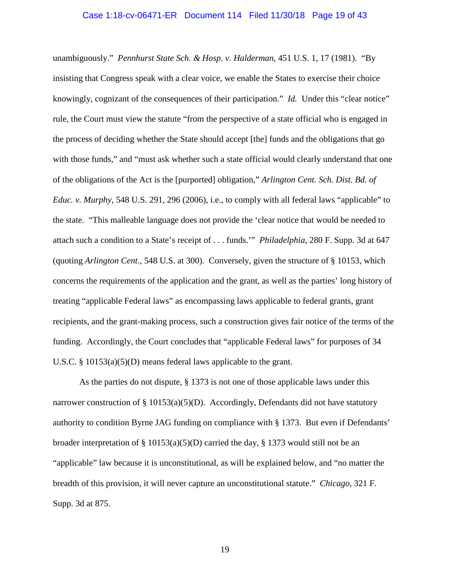#### Case 1:18-cv-06471-ER Document 114 Filed 11/30/18 Page 19 of 43

unambiguously." *Pennhurst State Sch. & Hosp. v. Halderman*, 451 U.S. 1, 17 (1981). "By insisting that Congress speak with a clear voice, we enable the States to exercise their choice knowingly, cognizant of the consequences of their participation." *Id.* Under this "clear notice" rule, the Court must view the statute "from the perspective of a state official who is engaged in the process of deciding whether the State should accept [the] funds and the obligations that go with those funds," and "must ask whether such a state official would clearly understand that one of the obligations of the Act is the [purported] obligation," *Arlington Cent. Sch. Dist. Bd. of Educ. v. Murphy*, 548 U.S. 291, 296 (2006), i.e., to comply with all federal laws "applicable" to the state. "This malleable language does not provide the 'clear notice that would be needed to attach such a condition to a State's receipt of . . . funds.'" *Philadelphia*, 280 F. Supp. 3d at 647 (quoting *Arlington Cent.*, 548 U.S. at 300). Conversely, given the structure of § 10153, which concerns the requirements of the application and the grant, as well as the parties' long history of treating "applicable Federal laws" as encompassing laws applicable to federal grants, grant recipients, and the grant-making process, such a construction gives fair notice of the terms of the funding. Accordingly, the Court concludes that "applicable Federal laws" for purposes of 34 U.S.C. § 10153(a)(5)(D) means federal laws applicable to the grant.

As the parties do not dispute, § 1373 is not one of those applicable laws under this narrower construction of § 10153(a)(5)(D). Accordingly, Defendants did not have statutory authority to condition Byrne JAG funding on compliance with § 1373. But even if Defendants' broader interpretation of  $\S$  10153(a)(5)(D) carried the day,  $\S$  1373 would still not be an "applicable" law because it is unconstitutional, as will be explained below, and "no matter the breadth of this provision, it will never capture an unconstitutional statute." *Chicago*, 321 F. Supp. 3d at 875.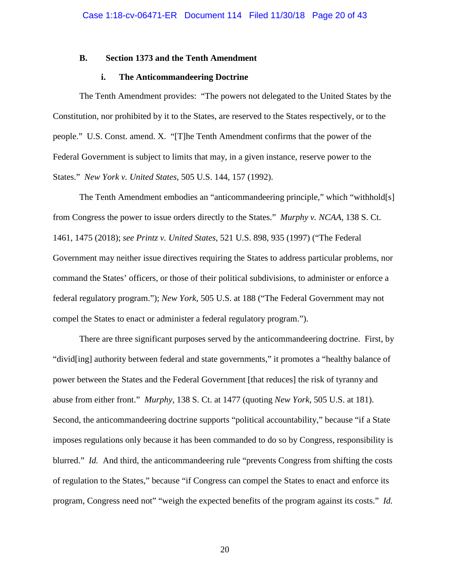### **B. Section 1373 and the Tenth Amendment**

#### **i. The Anticommandeering Doctrine**

The Tenth Amendment provides: "The powers not delegated to the United States by the Constitution, nor prohibited by it to the States, are reserved to the States respectively, or to the people." U.S. Const. amend. X. "[T]he Tenth Amendment confirms that the power of the Federal Government is subject to limits that may, in a given instance, reserve power to the States." *New York v. United States*, 505 U.S. 144, 157 (1992).

The Tenth Amendment embodies an "anticommandeering principle," which "withhold[s] from Congress the power to issue orders directly to the States." *Murphy v. NCAA*, 138 S. Ct. 1461, 1475 (2018); *see Printz v. United States*, 521 U.S. 898, 935 (1997) ("The Federal Government may neither issue directives requiring the States to address particular problems, nor command the States' officers, or those of their political subdivisions, to administer or enforce a federal regulatory program."); *New York*, 505 U.S. at 188 ("The Federal Government may not compel the States to enact or administer a federal regulatory program.").

There are three significant purposes served by the anticommandeering doctrine. First, by "divid[ing] authority between federal and state governments," it promotes a "healthy balance of power between the States and the Federal Government [that reduces] the risk of tyranny and abuse from either front." *Murphy*, 138 S. Ct. at 1477 (quoting *New York*, 505 U.S. at 181). Second, the anticommandeering doctrine supports "political accountability," because "if a State imposes regulations only because it has been commanded to do so by Congress, responsibility is blurred." *Id.* And third, the anticommandeering rule "prevents Congress from shifting the costs of regulation to the States," because "if Congress can compel the States to enact and enforce its program, Congress need not" "weigh the expected benefits of the program against its costs." *Id.*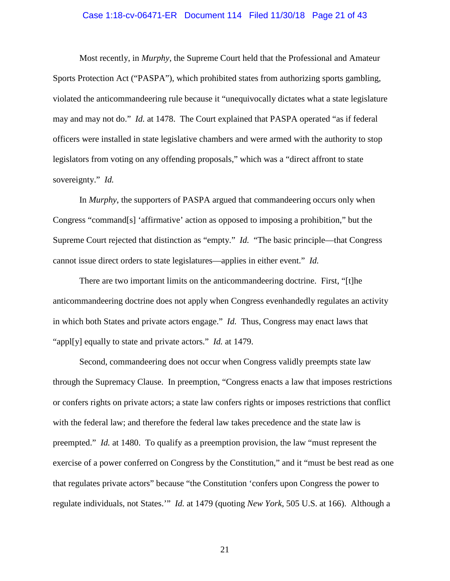#### Case 1:18-cv-06471-ER Document 114 Filed 11/30/18 Page 21 of 43

Most recently, in *Murphy*, the Supreme Court held that the Professional and Amateur Sports Protection Act ("PASPA"), which prohibited states from authorizing sports gambling, violated the anticommandeering rule because it "unequivocally dictates what a state legislature may and may not do." *Id.* at 1478. The Court explained that PASPA operated "as if federal officers were installed in state legislative chambers and were armed with the authority to stop legislators from voting on any offending proposals," which was a "direct affront to state sovereignty." *Id.*

In *Murphy*, the supporters of PASPA argued that commandeering occurs only when Congress "command[s] 'affirmative' action as opposed to imposing a prohibition," but the Supreme Court rejected that distinction as "empty." *Id.* "The basic principle—that Congress cannot issue direct orders to state legislatures—applies in either event." *Id.*

There are two important limits on the anticommandeering doctrine. First, "[t]he anticommandeering doctrine does not apply when Congress evenhandedly regulates an activity in which both States and private actors engage." *Id.* Thus, Congress may enact laws that "appl[y] equally to state and private actors." *Id.* at 1479.

Second, commandeering does not occur when Congress validly preempts state law through the Supremacy Clause. In preemption, "Congress enacts a law that imposes restrictions or confers rights on private actors; a state law confers rights or imposes restrictions that conflict with the federal law; and therefore the federal law takes precedence and the state law is preempted." *Id.* at 1480. To qualify as a preemption provision, the law "must represent the exercise of a power conferred on Congress by the Constitution," and it "must be best read as one that regulates private actors" because "the Constitution 'confers upon Congress the power to regulate individuals, not States.'" *Id.* at 1479 (quoting *New York*, 505 U.S. at 166). Although a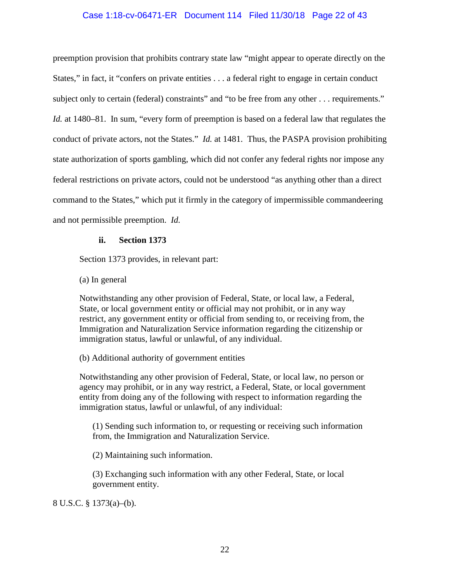## Case 1:18-cv-06471-ER Document 114 Filed 11/30/18 Page 22 of 43

preemption provision that prohibits contrary state law "might appear to operate directly on the States," in fact, it "confers on private entities . . . a federal right to engage in certain conduct subject only to certain (federal) constraints" and "to be free from any other . . . requirements." *Id.* at 1480–81. In sum, "every form of preemption is based on a federal law that regulates the conduct of private actors, not the States." *Id.* at 1481. Thus, the PASPA provision prohibiting state authorization of sports gambling, which did not confer any federal rights nor impose any federal restrictions on private actors, could not be understood "as anything other than a direct command to the States," which put it firmly in the category of impermissible commandeering and not permissible preemption. *Id.*

### **ii. Section 1373**

Section 1373 provides, in relevant part:

(a) In general

Notwithstanding any other provision of Federal, State, or local law, a Federal, State, or local government entity or official may not prohibit, or in any way restrict, any government entity or official from sending to, or receiving from, the Immigration and Naturalization Service information regarding the citizenship or immigration status, lawful or unlawful, of any individual.

## (b) Additional authority of government entities

Notwithstanding any other provision of Federal, State, or local law, no person or agency may prohibit, or in any way restrict, a Federal, State, or local government entity from doing any of the following with respect to information regarding the immigration status, lawful or unlawful, of any individual:

(1) Sending such information to, or requesting or receiving such information from, the Immigration and Naturalization Service.

(2) Maintaining such information.

(3) Exchanging such information with any other Federal, State, or local government entity.

8 U.S.C. § 1373(a)–(b).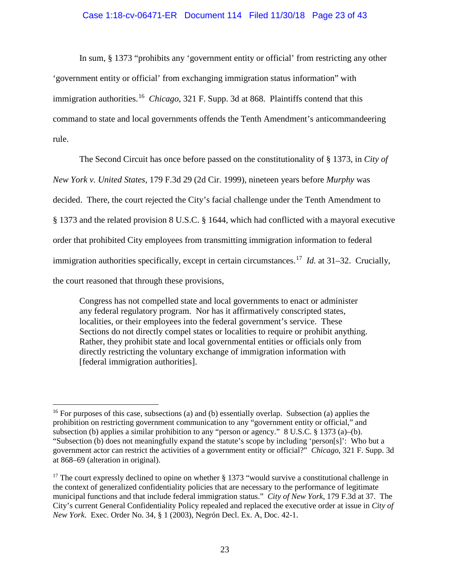### Case 1:18-cv-06471-ER Document 114 Filed 11/30/18 Page 23 of 43

In sum, § 1373 "prohibits any 'government entity or official' from restricting any other 'government entity or official' from exchanging immigration status information" with immigration authorities.[16](#page-22-0) *Chicago*, 321 F. Supp. 3d at 868. Plaintiffs contend that this command to state and local governments offends the Tenth Amendment's anticommandeering rule.

The Second Circuit has once before passed on the constitutionality of § 1373, in *City of* 

*New York v. United States*, 179 F.3d 29 (2d Cir. 1999), nineteen years before *Murphy* was

decided. There, the court rejected the City's facial challenge under the Tenth Amendment to

§ 1373 and the related provision 8 U.S.C. § 1644, which had conflicted with a mayoral executive

order that prohibited City employees from transmitting immigration information to federal

immigration authorities specifically, except in certain circumstances. [17](#page-22-1) *Id.* at 31–32. Crucially,

the court reasoned that through these provisions,

Congress has not compelled state and local governments to enact or administer any federal regulatory program. Nor has it affirmatively conscripted states, localities, or their employees into the federal government's service. These Sections do not directly compel states or localities to require or prohibit anything. Rather, they prohibit state and local governmental entities or officials only from directly restricting the voluntary exchange of immigration information with [federal immigration authorities].

<span id="page-22-0"></span><sup>&</sup>lt;sup>16</sup> For purposes of this case, subsections (a) and (b) essentially overlap. Subsection (a) applies the prohibition on restricting government communication to any "government entity or official," and subsection (b) applies a similar prohibition to any "person or agency." 8 U.S.C. § 1373 (a)–(b). "Subsection (b) does not meaningfully expand the statute's scope by including 'person[s]': Who but a government actor can restrict the activities of a government entity or official?" *Chicago*, 321 F. Supp. 3d at 868–69 (alteration in original).

<span id="page-22-1"></span><sup>&</sup>lt;sup>17</sup> The court expressly declined to opine on whether  $\S$  1373 "would survive a constitutional challenge in the context of generalized confidentiality policies that are necessary to the performance of legitimate municipal functions and that include federal immigration status." *City of New York*, 179 F.3d at 37. The City's current General Confidentiality Policy repealed and replaced the executive order at issue in *City of New York*. Exec. Order No. 34, § 1 (2003), Negrón Decl. Ex. A, Doc. 42-1.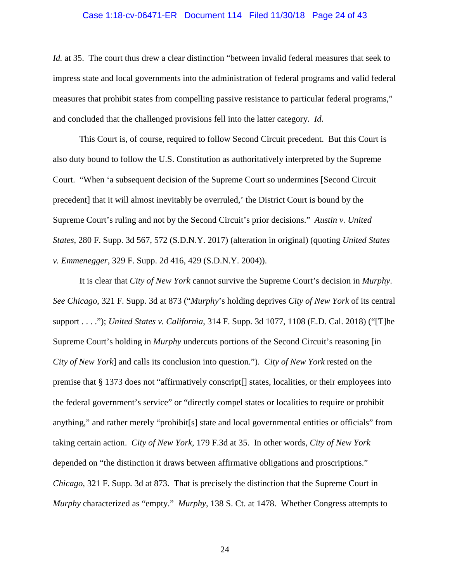#### Case 1:18-cv-06471-ER Document 114 Filed 11/30/18 Page 24 of 43

*Id.* at 35. The court thus drew a clear distinction "between invalid federal measures that seek to impress state and local governments into the administration of federal programs and valid federal measures that prohibit states from compelling passive resistance to particular federal programs," and concluded that the challenged provisions fell into the latter category. *Id.*

This Court is, of course, required to follow Second Circuit precedent. But this Court is also duty bound to follow the U.S. Constitution as authoritatively interpreted by the Supreme Court. "When 'a subsequent decision of the Supreme Court so undermines [Second Circuit precedent] that it will almost inevitably be overruled,' the District Court is bound by the Supreme Court's ruling and not by the Second Circuit's prior decisions." *Austin v. United States*, 280 F. Supp. 3d 567, 572 (S.D.N.Y. 2017) (alteration in original) (quoting *United States v. Emmenegger*, 329 F. Supp. 2d 416, 429 (S.D.N.Y. 2004)).

It is clear that *City of New York* cannot survive the Supreme Court's decision in *Murphy*. *See Chicago*, 321 F. Supp. 3d at 873 ("*Murphy*'s holding deprives *City of New York* of its central support . . . ."); *United States v. California*, 314 F. Supp. 3d 1077, 1108 (E.D. Cal. 2018) ("[T]he Supreme Court's holding in *Murphy* undercuts portions of the Second Circuit's reasoning [in *City of New York*] and calls its conclusion into question."). *City of New York* rested on the premise that § 1373 does not "affirmatively conscript[] states, localities, or their employees into the federal government's service" or "directly compel states or localities to require or prohibit anything," and rather merely "prohibit[s] state and local governmental entities or officials" from taking certain action. *City of New York*, 179 F.3d at 35. In other words, *City of New York* depended on "the distinction it draws between affirmative obligations and proscriptions." *Chicago*, 321 F. Supp. 3d at 873. That is precisely the distinction that the Supreme Court in *Murphy* characterized as "empty." *Murphy*, 138 S. Ct. at 1478. Whether Congress attempts to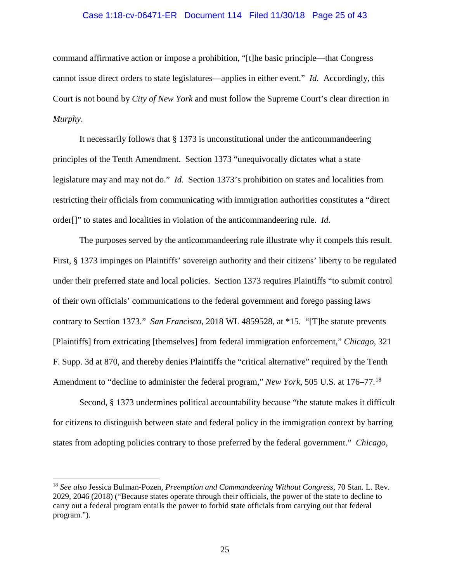#### Case 1:18-cv-06471-ER Document 114 Filed 11/30/18 Page 25 of 43

command affirmative action or impose a prohibition, "[t]he basic principle—that Congress cannot issue direct orders to state legislatures—applies in either event." *Id.* Accordingly, this Court is not bound by *City of New York* and must follow the Supreme Court's clear direction in *Murphy*.

It necessarily follows that § 1373 is unconstitutional under the anticommandeering principles of the Tenth Amendment. Section 1373 "unequivocally dictates what a state legislature may and may not do." *Id.* Section 1373's prohibition on states and localities from restricting their officials from communicating with immigration authorities constitutes a "direct order[]" to states and localities in violation of the anticommandeering rule. *Id.*

The purposes served by the anticommandeering rule illustrate why it compels this result. First, § 1373 impinges on Plaintiffs' sovereign authority and their citizens' liberty to be regulated under their preferred state and local policies. Section 1373 requires Plaintiffs "to submit control of their own officials' communications to the federal government and forego passing laws contrary to Section 1373." *San Francisco*, 2018 WL 4859528, at \*15. "[T]he statute prevents [Plaintiffs] from extricating [themselves] from federal immigration enforcement," *Chicago*, 321 F. Supp. 3d at 870, and thereby denies Plaintiffs the "critical alternative" required by the Tenth Amendment to "decline to administer the federal program," *New York*, 505 U.S. at 176–77. [18](#page-24-0)

Second, § 1373 undermines political accountability because "the statute makes it difficult for citizens to distinguish between state and federal policy in the immigration context by barring states from adopting policies contrary to those preferred by the federal government." *Chicago*,

<span id="page-24-0"></span> <sup>18</sup> *See also* Jessica Bulman-Pozen, *Preemption and Commandeering Without Congress*, 70 Stan. L. Rev. 2029, 2046 (2018) ("Because states operate through their officials, the power of the state to decline to carry out a federal program entails the power to forbid state officials from carrying out that federal program.").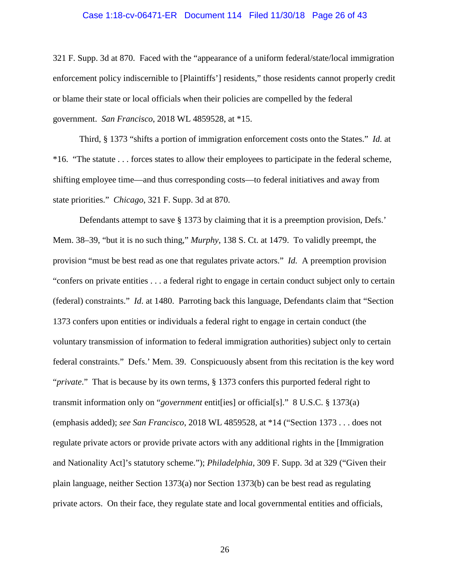#### Case 1:18-cv-06471-ER Document 114 Filed 11/30/18 Page 26 of 43

321 F. Supp. 3d at 870. Faced with the "appearance of a uniform federal/state/local immigration enforcement policy indiscernible to [Plaintiffs'] residents," those residents cannot properly credit or blame their state or local officials when their policies are compelled by the federal government. *San Francisco*, 2018 WL 4859528, at \*15.

Third, § 1373 "shifts a portion of immigration enforcement costs onto the States." *Id.* at \*16. "The statute . . . forces states to allow their employees to participate in the federal scheme, shifting employee time—and thus corresponding costs—to federal initiatives and away from state priorities." *Chicago*, 321 F. Supp. 3d at 870.

Defendants attempt to save § 1373 by claiming that it is a preemption provision, Defs.' Mem. 38–39, "but it is no such thing," *Murphy*, 138 S. Ct. at 1479. To validly preempt, the provision "must be best read as one that regulates private actors." *Id.* A preemption provision "confers on private entities . . . a federal right to engage in certain conduct subject only to certain (federal) constraints." *Id.* at 1480. Parroting back this language, Defendants claim that "Section 1373 confers upon entities or individuals a federal right to engage in certain conduct (the voluntary transmission of information to federal immigration authorities) subject only to certain federal constraints." Defs.' Mem. 39. Conspicuously absent from this recitation is the key word "*private*." That is because by its own terms, § 1373 confers this purported federal right to transmit information only on "*government* entit[ies] or official[s]." 8 U.S.C. § 1373(a) (emphasis added); *see San Francisco*, 2018 WL 4859528, at \*14 ("Section 1373 . . . does not regulate private actors or provide private actors with any additional rights in the [Immigration and Nationality Act]'s statutory scheme."); *Philadelphia*, 309 F. Supp. 3d at 329 ("Given their plain language, neither Section  $1373(a)$  nor Section  $1373(b)$  can be best read as regulating private actors. On their face, they regulate state and local governmental entities and officials,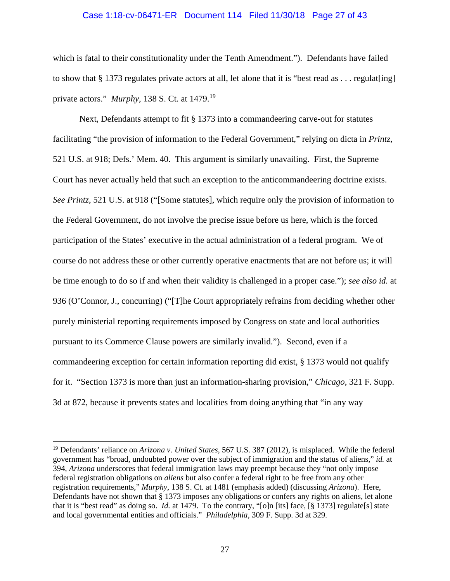# Case 1:18-cv-06471-ER Document 114 Filed 11/30/18 Page 27 of 43

which is fatal to their constitutionality under the Tenth Amendment."). Defendants have failed to show that § 1373 regulates private actors at all, let alone that it is "best read as . . . regulat[ing] private actors." *Murphy*, 138 S. Ct. at 1479.[19](#page-26-0)

Next, Defendants attempt to fit § 1373 into a commandeering carve-out for statutes facilitating "the provision of information to the Federal Government," relying on dicta in *Printz*, 521 U.S. at 918; Defs.' Mem. 40. This argument is similarly unavailing. First, the Supreme Court has never actually held that such an exception to the anticommandeering doctrine exists. *See Printz*, 521 U.S. at 918 ("[Some statutes], which require only the provision of information to the Federal Government, do not involve the precise issue before us here, which is the forced participation of the States' executive in the actual administration of a federal program. We of course do not address these or other currently operative enactments that are not before us; it will be time enough to do so if and when their validity is challenged in a proper case."); *see also id.* at 936 (O'Connor, J., concurring) ("[T]he Court appropriately refrains from deciding whether other purely ministerial reporting requirements imposed by Congress on state and local authorities pursuant to its Commerce Clause powers are similarly invalid."). Second, even if a commandeering exception for certain information reporting did exist, § 1373 would not qualify for it. "Section 1373 is more than just an information-sharing provision," *Chicago*, 321 F. Supp. 3d at 872, because it prevents states and localities from doing anything that "in any way

<span id="page-26-0"></span> <sup>19</sup> Defendants' reliance on *Arizona v. United States*, 567 U.S. 387 (2012), is misplaced. While the federal government has "broad, undoubted power over the subject of immigration and the status of aliens," *id.* at 394, *Arizona* underscores that federal immigration laws may preempt because they "not only impose federal registration obligations on *aliens* but also confer a federal right to be free from any other registration requirements," *Murphy*, 138 S. Ct. at 1481 (emphasis added) (discussing *Arizona*). Here, Defendants have not shown that § 1373 imposes any obligations or confers any rights on aliens, let alone that it is "best read" as doing so. *Id.* at 1479. To the contrary, "[o]n [its] face, [§ 1373] regulate[s] state and local governmental entities and officials." *Philadelphia*, 309 F. Supp. 3d at 329.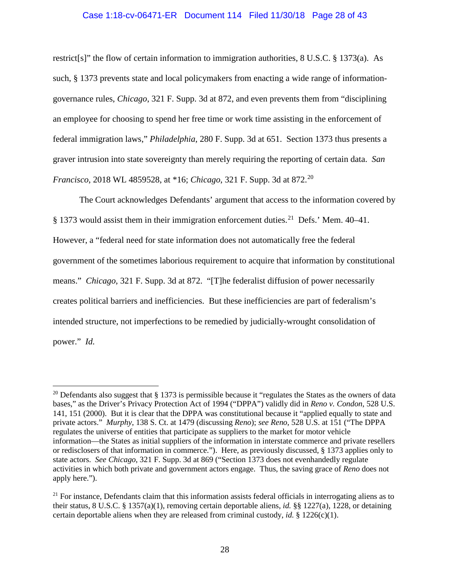### Case 1:18-cv-06471-ER Document 114 Filed 11/30/18 Page 28 of 43

restrict[s]" the flow of certain information to immigration authorities, 8 U.S.C. § 1373(a). As such, § 1373 prevents state and local policymakers from enacting a wide range of informationgovernance rules, *Chicago*, 321 F. Supp. 3d at 872, and even prevents them from "disciplining an employee for choosing to spend her free time or work time assisting in the enforcement of federal immigration laws," *Philadelphia*, 280 F. Supp. 3d at 651. Section 1373 thus presents a graver intrusion into state sovereignty than merely requiring the reporting of certain data. *San Francisco*, 2018 WL 4859528, at \*16; *Chicago*, 321 F. Supp. 3d at 872.[20](#page-27-0)

The Court acknowledges Defendants' argument that access to the information covered by  $§$  1373 would assist them in their immigration enforcement duties.<sup>21</sup> Defs.' Mem. 40–41. However, a "federal need for state information does not automatically free the federal government of the sometimes laborious requirement to acquire that information by constitutional means." *Chicago*, 321 F. Supp. 3d at 872. "[T]he federalist diffusion of power necessarily creates political barriers and inefficiencies. But these inefficiencies are part of federalism's intended structure, not imperfections to be remedied by judicially-wrought consolidation of power." *Id.*

<span id="page-27-0"></span><sup>&</sup>lt;sup>20</sup> Defendants also suggest that  $\S 1373$  is permissible because it "regulates the States as the owners of data bases," as the Driver's Privacy Protection Act of 1994 ("DPPA") validly did in *Reno v. Condon*, 528 U.S. 141, 151 (2000). But it is clear that the DPPA was constitutional because it "applied equally to state and private actors." *Murphy*, 138 S. Ct. at 1479 (discussing *Reno*); *see Reno*, 528 U.S. at 151 ("The DPPA regulates the universe of entities that participate as suppliers to the market for motor vehicle information—the States as initial suppliers of the information in interstate commerce and private resellers or redisclosers of that information in commerce."). Here, as previously discussed, § 1373 applies only to state actors. *See Chicago*, 321 F. Supp. 3d at 869 ("Section 1373 does not evenhandedly regulate activities in which both private and government actors engage. Thus, the saving grace of *Reno* does not apply here.").

<span id="page-27-1"></span><sup>&</sup>lt;sup>21</sup> For instance, Defendants claim that this information assists federal officials in interrogating aliens as to their status, 8 U.S.C. § 1357(a)(1), removing certain deportable aliens, *id.* §§ 1227(a), 1228, or detaining certain deportable aliens when they are released from criminal custody, *id.*  $\S$  1226(c)(1).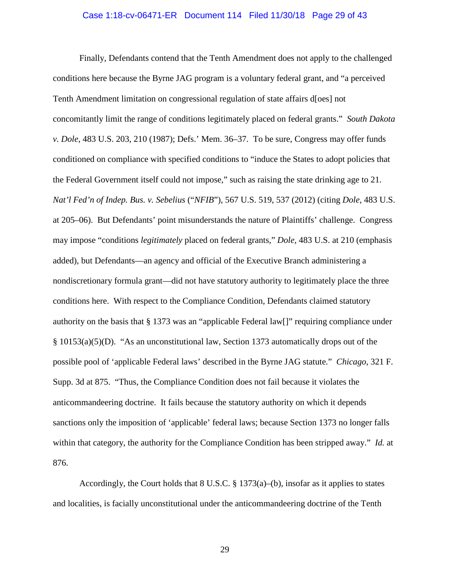#### Case 1:18-cv-06471-ER Document 114 Filed 11/30/18 Page 29 of 43

Finally, Defendants contend that the Tenth Amendment does not apply to the challenged conditions here because the Byrne JAG program is a voluntary federal grant, and "a perceived Tenth Amendment limitation on congressional regulation of state affairs d[oes] not concomitantly limit the range of conditions legitimately placed on federal grants." *South Dakota v. Dole*, 483 U.S. 203, 210 (1987); Defs.' Mem. 36–37. To be sure, Congress may offer funds conditioned on compliance with specified conditions to "induce the States to adopt policies that the Federal Government itself could not impose," such as raising the state drinking age to 21. *Nat'l Fed'n of Indep. Bus. v. Sebelius* ("*NFIB*"), 567 U.S. 519, 537 (2012) (citing *Dole*, 483 U.S. at 205–06). But Defendants' point misunderstands the nature of Plaintiffs' challenge. Congress may impose "conditions *legitimately* placed on federal grants," *Dole*, 483 U.S. at 210 (emphasis added), but Defendants—an agency and official of the Executive Branch administering a nondiscretionary formula grant—did not have statutory authority to legitimately place the three conditions here. With respect to the Compliance Condition, Defendants claimed statutory authority on the basis that § 1373 was an "applicable Federal law[]" requiring compliance under § 10153(a)(5)(D). "As an unconstitutional law, Section 1373 automatically drops out of the possible pool of 'applicable Federal laws' described in the Byrne JAG statute." *Chicago*, 321 F. Supp. 3d at 875. "Thus, the Compliance Condition does not fail because it violates the anticommandeering doctrine. It fails because the statutory authority on which it depends sanctions only the imposition of 'applicable' federal laws; because Section 1373 no longer falls within that category, the authority for the Compliance Condition has been stripped away." *Id.* at 876.

Accordingly, the Court holds that  $8 \text{ U.S.C.} \$   $8 \frac{1373(a)}{b}$ , insofar as it applies to states and localities, is facially unconstitutional under the anticommandeering doctrine of the Tenth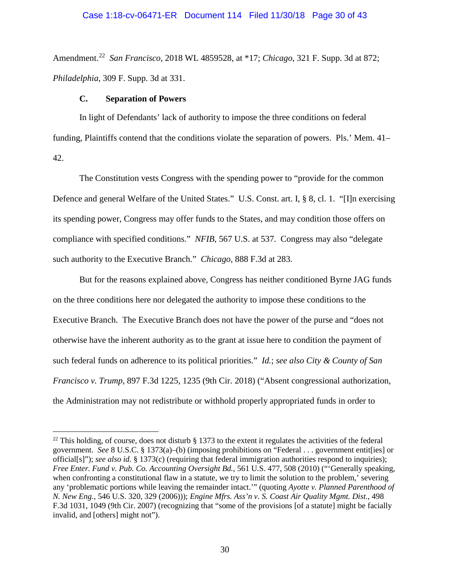Amendment. [22](#page-29-0) *San Francisco*, 2018 WL 4859528, at \*17; *Chicago*, 321 F. Supp. 3d at 872; *Philadelphia*, 309 F. Supp. 3d at 331.

### **C. Separation of Powers**

In light of Defendants' lack of authority to impose the three conditions on federal funding, Plaintiffs contend that the conditions violate the separation of powers. Pls.' Mem. 41– 42.

The Constitution vests Congress with the spending power to "provide for the common Defence and general Welfare of the United States." U.S. Const. art. I, § 8, cl. 1. "[I]n exercising its spending power, Congress may offer funds to the States, and may condition those offers on compliance with specified conditions." *NFIB*, 567 U.S. at 537. Congress may also "delegate such authority to the Executive Branch." *Chicago*, 888 F.3d at 283.

But for the reasons explained above, Congress has neither conditioned Byrne JAG funds on the three conditions here nor delegated the authority to impose these conditions to the Executive Branch. The Executive Branch does not have the power of the purse and "does not otherwise have the inherent authority as to the grant at issue here to condition the payment of such federal funds on adherence to its political priorities." *Id.*; *see also City & County of San Francisco v. Trump*, 897 F.3d 1225, 1235 (9th Cir. 2018) ("Absent congressional authorization, the Administration may not redistribute or withhold properly appropriated funds in order to

<span id="page-29-0"></span><sup>&</sup>lt;sup>22</sup> This holding, of course, does not disturb  $\S$  1373 to the extent it regulates the activities of the federal government. *See* 8 U.S.C. § 1373(a)–(b) (imposing prohibitions on "Federal . . . government entit[ies] or official[s]"); *see also id.* § 1373(c) (requiring that federal immigration authorities respond to inquiries); *Free Enter. Fund v. Pub. Co. Accounting Oversight Bd.*, 561 U.S. 477, 508 (2010) ("'Generally speaking, when confronting a constitutional flaw in a statute, we try to limit the solution to the problem,' severing any 'problematic portions while leaving the remainder intact.'" (quoting *Ayotte v. Planned Parenthood of N. New Eng.*, 546 U.S. 320, 329 (2006))); *Engine Mfrs. Ass'n v. S. Coast Air Quality Mgmt. Dist.*, 498 F.3d 1031, 1049 (9th Cir. 2007) (recognizing that "some of the provisions [of a statute] might be facially invalid, and [others] might not").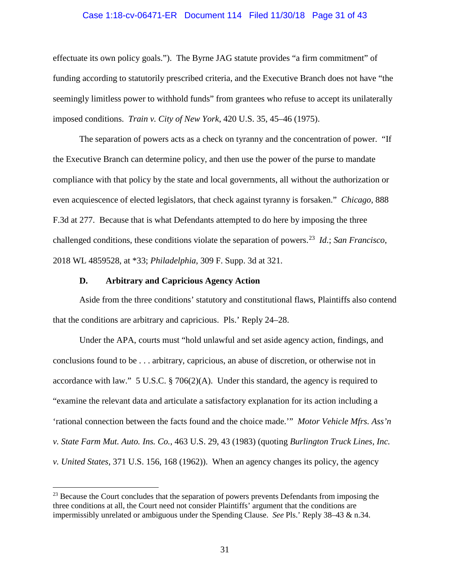#### Case 1:18-cv-06471-ER Document 114 Filed 11/30/18 Page 31 of 43

effectuate its own policy goals."). The Byrne JAG statute provides "a firm commitment" of funding according to statutorily prescribed criteria, and the Executive Branch does not have "the seemingly limitless power to withhold funds" from grantees who refuse to accept its unilaterally imposed conditions. *Train v. City of New York*, 420 U.S. 35, 45–46 (1975).

The separation of powers acts as a check on tyranny and the concentration of power. "If the Executive Branch can determine policy, and then use the power of the purse to mandate compliance with that policy by the state and local governments, all without the authorization or even acquiescence of elected legislators, that check against tyranny is forsaken." *Chicago*, 888 F.3d at 277. Because that is what Defendants attempted to do here by imposing the three challenged conditions, these conditions violate the separation of powers.[23](#page-30-0) *Id.*; *San Francisco*, 2018 WL 4859528, at \*33; *Philadelphia*, 309 F. Supp. 3d at 321.

### **D. Arbitrary and Capricious Agency Action**

Aside from the three conditions' statutory and constitutional flaws, Plaintiffs also contend that the conditions are arbitrary and capricious. Pls.' Reply 24–28.

Under the APA, courts must "hold unlawful and set aside agency action, findings, and conclusions found to be . . . arbitrary, capricious, an abuse of discretion, or otherwise not in accordance with law." 5 U.S.C. § 706(2)(A). Under this standard, the agency is required to "examine the relevant data and articulate a satisfactory explanation for its action including a 'rational connection between the facts found and the choice made.'" *Motor Vehicle Mfrs. Ass'n v. State Farm Mut. Auto. Ins. Co.*, 463 U.S. 29, 43 (1983) (quoting *Burlington Truck Lines, Inc. v. United States*, 371 U.S. 156, 168 (1962)). When an agency changes its policy, the agency

<span id="page-30-0"></span><sup>&</sup>lt;sup>23</sup> Because the Court concludes that the separation of powers prevents Defendants from imposing the three conditions at all, the Court need not consider Plaintiffs' argument that the conditions are impermissibly unrelated or ambiguous under the Spending Clause. *See* Pls.' Reply 38–43 & n.34.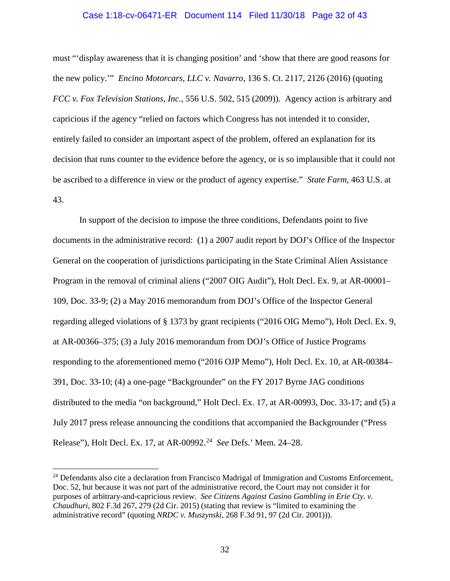# Case 1:18-cv-06471-ER Document 114 Filed 11/30/18 Page 32 of 43

must "'display awareness that it is changing position' and 'show that there are good reasons for the new policy.'" *Encino Motorcars, LLC v. Navarro*, 136 S. Ct. 2117, 2126 (2016) (quoting *FCC v. Fox Television Stations, Inc.*, 556 U.S. 502, 515 (2009)). Agency action is arbitrary and capricious if the agency "relied on factors which Congress has not intended it to consider, entirely failed to consider an important aspect of the problem, offered an explanation for its decision that runs counter to the evidence before the agency, or is so implausible that it could not be ascribed to a difference in view or the product of agency expertise." *State Farm*, 463 U.S. at 43.

In support of the decision to impose the three conditions, Defendants point to five documents in the administrative record: (1) a 2007 audit report by DOJ's Office of the Inspector General on the cooperation of jurisdictions participating in the State Criminal Alien Assistance Program in the removal of criminal aliens ("2007 OIG Audit"), Holt Decl. Ex. 9, at AR-00001– 109, Doc. 33-9; (2) a May 2016 memorandum from DOJ's Office of the Inspector General regarding alleged violations of § 1373 by grant recipients ("2016 OIG Memo"), Holt Decl. Ex. 9, at AR-00366–375; (3) a July 2016 memorandum from DOJ's Office of Justice Programs responding to the aforementioned memo ("2016 OJP Memo"), Holt Decl. Ex. 10, at AR-00384– 391, Doc. 33-10; (4) a one-page "Backgrounder" on the FY 2017 Byrne JAG conditions distributed to the media "on background," Holt Decl. Ex. 17, at AR-00993, Doc. 33-17; and (5) a July 2017 press release announcing the conditions that accompanied the Backgrounder ("Press Release"), Holt Decl. Ex. 17, at AR-00992.[24](#page-31-0) *See* Defs.' Mem. 24–28.

<span id="page-31-0"></span> $24$  Defendants also cite a declaration from Francisco Madrigal of Immigration and Customs Enforcement, Doc. 52, but because it was not part of the administrative record, the Court may not consider it for purposes of arbitrary-and-capricious review. *See Citizens Against Casino Gambling in Erie Cty. v. Chaudhuri*, 802 F.3d 267, 279 (2d Cir. 2015) (stating that review is "limited to examining the administrative record" (quoting *NRDC v. Muszynski*, 268 F.3d 91, 97 (2d Cir. 2001))).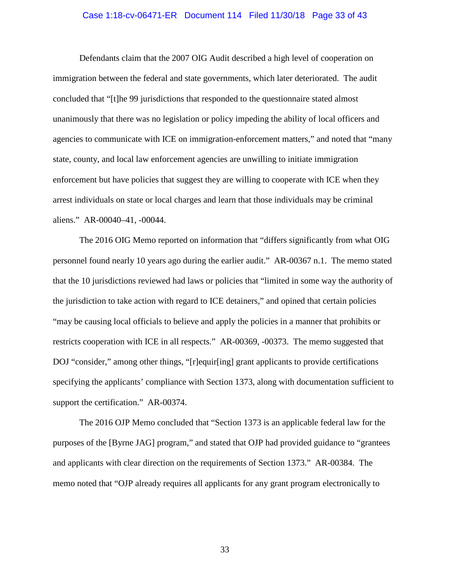#### Case 1:18-cv-06471-ER Document 114 Filed 11/30/18 Page 33 of 43

Defendants claim that the 2007 OIG Audit described a high level of cooperation on immigration between the federal and state governments, which later deteriorated. The audit concluded that "[t]he 99 jurisdictions that responded to the questionnaire stated almost unanimously that there was no legislation or policy impeding the ability of local officers and agencies to communicate with ICE on immigration-enforcement matters," and noted that "many state, county, and local law enforcement agencies are unwilling to initiate immigration enforcement but have policies that suggest they are willing to cooperate with ICE when they arrest individuals on state or local charges and learn that those individuals may be criminal aliens." AR-00040–41, -00044.

The 2016 OIG Memo reported on information that "differs significantly from what OIG personnel found nearly 10 years ago during the earlier audit." AR-00367 n.1. The memo stated that the 10 jurisdictions reviewed had laws or policies that "limited in some way the authority of the jurisdiction to take action with regard to ICE detainers," and opined that certain policies "may be causing local officials to believe and apply the policies in a manner that prohibits or restricts cooperation with ICE in all respects." AR-00369, -00373. The memo suggested that DOJ "consider," among other things, "[r]equir[ing] grant applicants to provide certifications specifying the applicants' compliance with Section 1373, along with documentation sufficient to support the certification." AR-00374.

The 2016 OJP Memo concluded that "Section 1373 is an applicable federal law for the purposes of the [Byrne JAG] program," and stated that OJP had provided guidance to "grantees and applicants with clear direction on the requirements of Section 1373." AR-00384. The memo noted that "OJP already requires all applicants for any grant program electronically to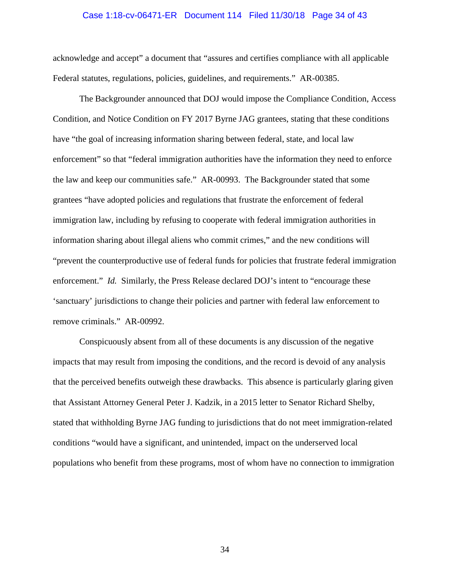#### Case 1:18-cv-06471-ER Document 114 Filed 11/30/18 Page 34 of 43

acknowledge and accept" a document that "assures and certifies compliance with all applicable Federal statutes, regulations, policies, guidelines, and requirements." AR-00385.

The Backgrounder announced that DOJ would impose the Compliance Condition, Access Condition, and Notice Condition on FY 2017 Byrne JAG grantees, stating that these conditions have "the goal of increasing information sharing between federal, state, and local law enforcement" so that "federal immigration authorities have the information they need to enforce the law and keep our communities safe." AR-00993. The Backgrounder stated that some grantees "have adopted policies and regulations that frustrate the enforcement of federal immigration law, including by refusing to cooperate with federal immigration authorities in information sharing about illegal aliens who commit crimes," and the new conditions will "prevent the counterproductive use of federal funds for policies that frustrate federal immigration enforcement." *Id.* Similarly, the Press Release declared DOJ's intent to "encourage these 'sanctuary' jurisdictions to change their policies and partner with federal law enforcement to remove criminals." AR-00992.

Conspicuously absent from all of these documents is any discussion of the negative impacts that may result from imposing the conditions, and the record is devoid of any analysis that the perceived benefits outweigh these drawbacks. This absence is particularly glaring given that Assistant Attorney General Peter J. Kadzik, in a 2015 letter to Senator Richard Shelby, stated that withholding Byrne JAG funding to jurisdictions that do not meet immigration-related conditions "would have a significant, and unintended, impact on the underserved local populations who benefit from these programs, most of whom have no connection to immigration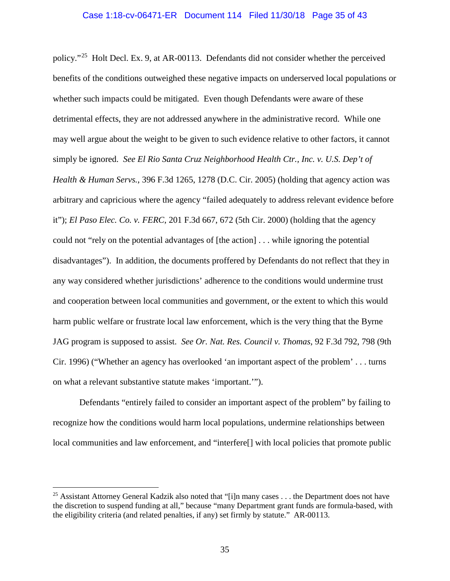policy."[25](#page-34-0) Holt Decl. Ex. 9, at AR-00113. Defendants did not consider whether the perceived benefits of the conditions outweighed these negative impacts on underserved local populations or whether such impacts could be mitigated. Even though Defendants were aware of these detrimental effects, they are not addressed anywhere in the administrative record. While one may well argue about the weight to be given to such evidence relative to other factors, it cannot simply be ignored. *See El Rio Santa Cruz Neighborhood Health Ctr., Inc. v. U.S. Dep't of Health & Human Servs.*, 396 F.3d 1265, 1278 (D.C. Cir. 2005) (holding that agency action was arbitrary and capricious where the agency "failed adequately to address relevant evidence before it"); *El Paso Elec. Co. v. FERC*, 201 F.3d 667, 672 (5th Cir. 2000) (holding that the agency could not "rely on the potential advantages of [the action] . . . while ignoring the potential disadvantages"). In addition, the documents proffered by Defendants do not reflect that they in any way considered whether jurisdictions' adherence to the conditions would undermine trust and cooperation between local communities and government, or the extent to which this would harm public welfare or frustrate local law enforcement, which is the very thing that the Byrne JAG program is supposed to assist. *See Or. Nat. Res. Council v. Thomas*, 92 F.3d 792, 798 (9th Cir. 1996) ("Whether an agency has overlooked 'an important aspect of the problem' . . . turns on what a relevant substantive statute makes 'important.'").

Defendants "entirely failed to consider an important aspect of the problem" by failing to recognize how the conditions would harm local populations, undermine relationships between local communities and law enforcement, and "interfere[] with local policies that promote public

<span id="page-34-0"></span><sup>&</sup>lt;sup>25</sup> Assistant Attorney General Kadzik also noted that "[i]n many cases . . . the Department does not have the discretion to suspend funding at all," because "many Department grant funds are formula-based, with the eligibility criteria (and related penalties, if any) set firmly by statute." AR-00113.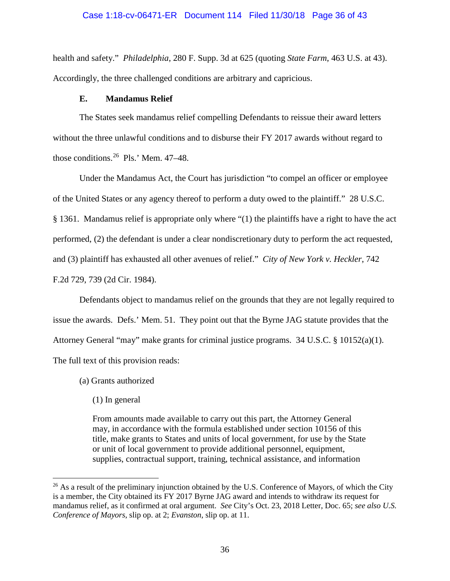health and safety." *Philadelphia*, 280 F. Supp. 3d at 625 (quoting *State Farm*, 463 U.S. at 43). Accordingly, the three challenged conditions are arbitrary and capricious.

### **E. Mandamus Relief**

The States seek mandamus relief compelling Defendants to reissue their award letters without the three unlawful conditions and to disburse their FY 2017 awards without regard to those conditions.[26](#page-35-0) Pls.' Mem. 47–48.

Under the Mandamus Act, the Court has jurisdiction "to compel an officer or employee of the United States or any agency thereof to perform a duty owed to the plaintiff." 28 U.S.C. § 1361. Mandamus relief is appropriate only where "(1) the plaintiffs have a right to have the act performed, (2) the defendant is under a clear nondiscretionary duty to perform the act requested, and (3) plaintiff has exhausted all other avenues of relief." *City of New York v. Heckler*, 742 F.2d 729, 739 (2d Cir. 1984).

Defendants object to mandamus relief on the grounds that they are not legally required to issue the awards. Defs.' Mem. 51. They point out that the Byrne JAG statute provides that the Attorney General "may" make grants for criminal justice programs. 34 U.S.C. § 10152(a)(1). The full text of this provision reads:

- (a) Grants authorized
	- (1) In general

From amounts made available to carry out this part, the Attorney General may, in accordance with the formula established under section 10156 of this title, make grants to States and units of local government, for use by the State or unit of local government to provide additional personnel, equipment, supplies, contractual support, training, technical assistance, and information

<span id="page-35-0"></span> $^{26}$  As a result of the preliminary injunction obtained by the U.S. Conference of Mayors, of which the City is a member, the City obtained its FY 2017 Byrne JAG award and intends to withdraw its request for mandamus relief, as it confirmed at oral argument. *See* City's Oct. 23, 2018 Letter, Doc. 65; *see also U.S. Conference of Mayors*, slip op. at 2; *Evanston*, slip op. at 11.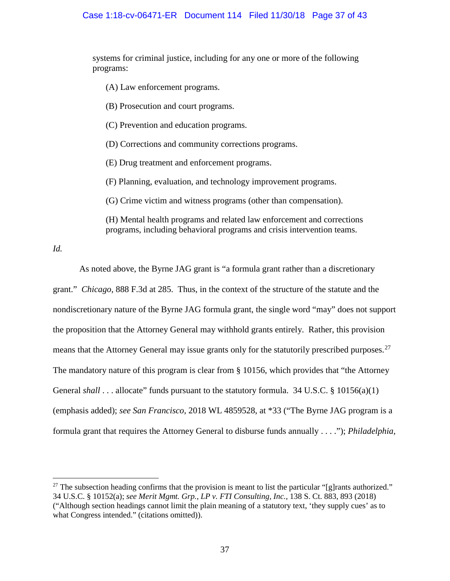systems for criminal justice, including for any one or more of the following programs:

- (A) Law enforcement programs.
- (B) Prosecution and court programs.
- (C) Prevention and education programs.

(D) Corrections and community corrections programs.

(E) Drug treatment and enforcement programs.

(F) Planning, evaluation, and technology improvement programs.

(G) Crime victim and witness programs (other than compensation).

(H) Mental health programs and related law enforcement and corrections programs, including behavioral programs and crisis intervention teams.

*Id.*

As noted above, the Byrne JAG grant is "a formula grant rather than a discretionary grant." *Chicago*, 888 F.3d at 285. Thus, in the context of the structure of the statute and the nondiscretionary nature of the Byrne JAG formula grant, the single word "may" does not support the proposition that the Attorney General may withhold grants entirely. Rather, this provision means that the Attorney General may issue grants only for the statutorily prescribed purposes.<sup>27</sup> The mandatory nature of this program is clear from § 10156, which provides that "the Attorney General *shall* . . . allocate" funds pursuant to the statutory formula. 34 U.S.C. § 10156(a)(1) (emphasis added); *see San Francisco*, 2018 WL 4859528, at \*33 ("The Byrne JAG program is a formula grant that requires the Attorney General to disburse funds annually . . . ."); *Philadelphia*,

<span id="page-36-0"></span><sup>&</sup>lt;sup>27</sup> The subsection heading confirms that the provision is meant to list the particular "[g]rants authorized." 34 U.S.C. § 10152(a); *see Merit Mgmt. Grp., LP v. FTI Consulting, Inc.*, 138 S. Ct. 883, 893 (2018) ("Although section headings cannot limit the plain meaning of a statutory text, 'they supply cues' as to what Congress intended." (citations omitted)).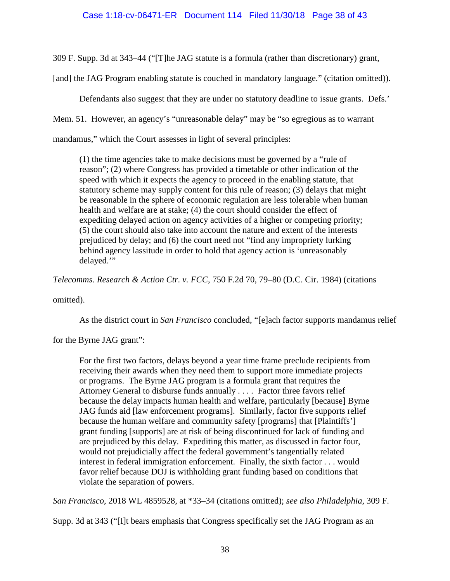309 F. Supp. 3d at 343–44 ("[T]he JAG statute is a formula (rather than discretionary) grant,

[and] the JAG Program enabling statute is couched in mandatory language." (citation omitted)).

Defendants also suggest that they are under no statutory deadline to issue grants. Defs.'

Mem. 51. However, an agency's "unreasonable delay" may be "so egregious as to warrant

mandamus," which the Court assesses in light of several principles:

(1) the time agencies take to make decisions must be governed by a "rule of reason"; (2) where Congress has provided a timetable or other indication of the speed with which it expects the agency to proceed in the enabling statute, that statutory scheme may supply content for this rule of reason; (3) delays that might be reasonable in the sphere of economic regulation are less tolerable when human health and welfare are at stake; (4) the court should consider the effect of expediting delayed action on agency activities of a higher or competing priority; (5) the court should also take into account the nature and extent of the interests prejudiced by delay; and (6) the court need not "find any impropriety lurking behind agency lassitude in order to hold that agency action is 'unreasonably delayed."

*Telecomms. Research & Action Ctr. v. FCC*, 750 F.2d 70, 79–80 (D.C. Cir. 1984) (citations

omitted).

As the district court in *San Francisco* concluded, "[e]ach factor supports mandamus relief

for the Byrne JAG grant":

For the first two factors, delays beyond a year time frame preclude recipients from receiving their awards when they need them to support more immediate projects or programs. The Byrne JAG program is a formula grant that requires the Attorney General to disburse funds annually . . . . Factor three favors relief because the delay impacts human health and welfare, particularly [because] Byrne JAG funds aid [law enforcement programs]. Similarly, factor five supports relief because the human welfare and community safety [programs] that [Plaintiffs'] grant funding [supports] are at risk of being discontinued for lack of funding and are prejudiced by this delay. Expediting this matter, as discussed in factor four, would not prejudicially affect the federal government's tangentially related interest in federal immigration enforcement. Finally, the sixth factor . . . would favor relief because DOJ is withholding grant funding based on conditions that violate the separation of powers.

*San Francisco*, 2018 WL 4859528, at \*33–34 (citations omitted); *see also Philadelphia*, 309 F.

Supp. 3d at 343 ("[I]t bears emphasis that Congress specifically set the JAG Program as an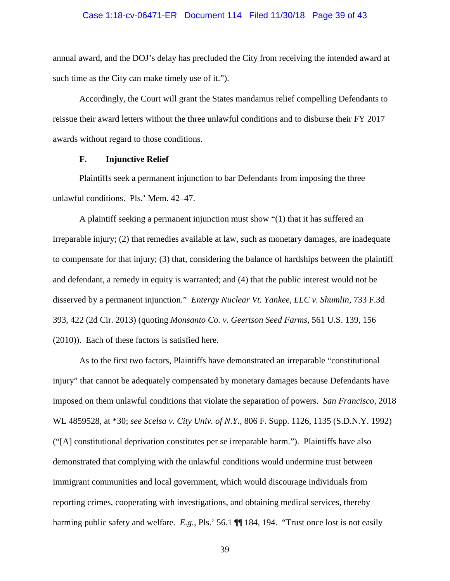#### Case 1:18-cv-06471-ER Document 114 Filed 11/30/18 Page 39 of 43

annual award, and the DOJ's delay has precluded the City from receiving the intended award at such time as the City can make timely use of it.").

Accordingly, the Court will grant the States mandamus relief compelling Defendants to reissue their award letters without the three unlawful conditions and to disburse their FY 2017 awards without regard to those conditions.

## **F. Injunctive Relief**

Plaintiffs seek a permanent injunction to bar Defendants from imposing the three unlawful conditions. Pls.' Mem. 42–47.

A plaintiff seeking a permanent injunction must show "(1) that it has suffered an irreparable injury; (2) that remedies available at law, such as monetary damages, are inadequate to compensate for that injury; (3) that, considering the balance of hardships between the plaintiff and defendant, a remedy in equity is warranted; and (4) that the public interest would not be disserved by a permanent injunction." *Entergy Nuclear Vt. Yankee, LLC v. Shumlin*, 733 F.3d 393, 422 (2d Cir. 2013) (quoting *Monsanto Co. v. Geertson Seed Farms*, 561 U.S. 139, 156 (2010)). Each of these factors is satisfied here.

As to the first two factors, Plaintiffs have demonstrated an irreparable "constitutional injury" that cannot be adequately compensated by monetary damages because Defendants have imposed on them unlawful conditions that violate the separation of powers. *San Francisco*, 2018 WL 4859528, at \*30; *see Scelsa v. City Univ. of N.Y.*, 806 F. Supp. 1126, 1135 (S.D.N.Y. 1992) ("[A] constitutional deprivation constitutes per se irreparable harm."). Plaintiffs have also demonstrated that complying with the unlawful conditions would undermine trust between immigrant communities and local government, which would discourage individuals from reporting crimes, cooperating with investigations, and obtaining medical services, thereby harming public safety and welfare. *E.g.*, Pls.' 56.1 **[1]** 184, 194. "Trust once lost is not easily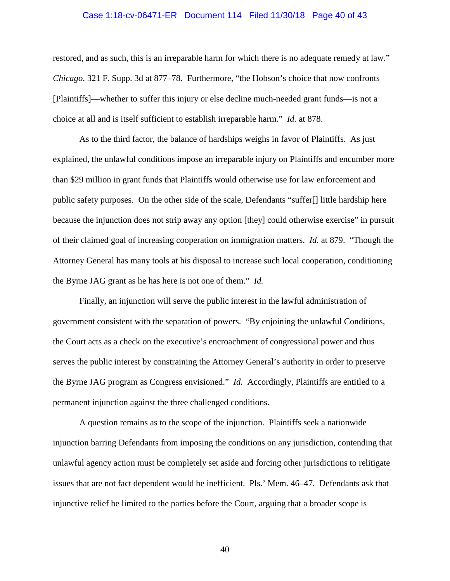#### Case 1:18-cv-06471-ER Document 114 Filed 11/30/18 Page 40 of 43

restored, and as such, this is an irreparable harm for which there is no adequate remedy at law." *Chicago*, 321 F. Supp. 3d at 877–78. Furthermore, "the Hobson's choice that now confronts [Plaintiffs]—whether to suffer this injury or else decline much-needed grant funds—is not a choice at all and is itself sufficient to establish irreparable harm." *Id.* at 878.

As to the third factor, the balance of hardships weighs in favor of Plaintiffs. As just explained, the unlawful conditions impose an irreparable injury on Plaintiffs and encumber more than \$29 million in grant funds that Plaintiffs would otherwise use for law enforcement and public safety purposes. On the other side of the scale, Defendants "suffer[] little hardship here because the injunction does not strip away any option [they] could otherwise exercise" in pursuit of their claimed goal of increasing cooperation on immigration matters. *Id.* at 879. "Though the Attorney General has many tools at his disposal to increase such local cooperation, conditioning the Byrne JAG grant as he has here is not one of them." *Id.*

Finally, an injunction will serve the public interest in the lawful administration of government consistent with the separation of powers. "By enjoining the unlawful Conditions, the Court acts as a check on the executive's encroachment of congressional power and thus serves the public interest by constraining the Attorney General's authority in order to preserve the Byrne JAG program as Congress envisioned." *Id.* Accordingly, Plaintiffs are entitled to a permanent injunction against the three challenged conditions.

A question remains as to the scope of the injunction. Plaintiffs seek a nationwide injunction barring Defendants from imposing the conditions on any jurisdiction, contending that unlawful agency action must be completely set aside and forcing other jurisdictions to relitigate issues that are not fact dependent would be inefficient. Pls.' Mem. 46–47. Defendants ask that injunctive relief be limited to the parties before the Court, arguing that a broader scope is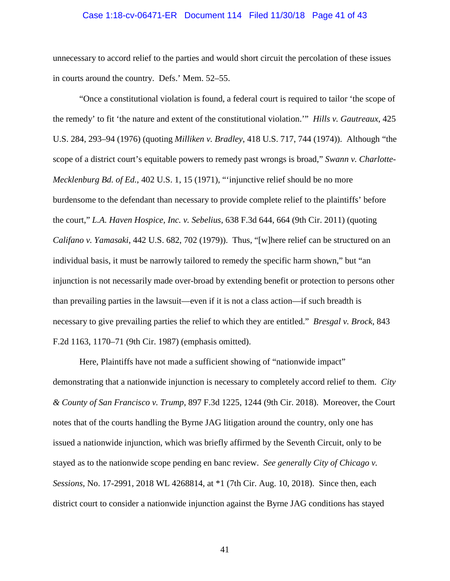#### Case 1:18-cv-06471-ER Document 114 Filed 11/30/18 Page 41 of 43

unnecessary to accord relief to the parties and would short circuit the percolation of these issues in courts around the country. Defs.' Mem. 52–55.

"Once a constitutional violation is found, a federal court is required to tailor 'the scope of the remedy' to fit 'the nature and extent of the constitutional violation.'" *Hills v. Gautreaux*, 425 U.S. 284, 293–94 (1976) (quoting *Milliken v. Bradley*, 418 U.S. 717, 744 (1974)). Although "the scope of a district court's equitable powers to remedy past wrongs is broad," *Swann v. Charlotte-Mecklenburg Bd. of Ed.*, 402 U.S. 1, 15 (1971), "'injunctive relief should be no more burdensome to the defendant than necessary to provide complete relief to the plaintiffs' before the court," *L.A. Haven Hospice, Inc. v. Sebelius*, 638 F.3d 644, 664 (9th Cir. 2011) (quoting *Califano v. Yamasaki*, 442 U.S. 682, 702 (1979)). Thus, "[w]here relief can be structured on an individual basis, it must be narrowly tailored to remedy the specific harm shown," but "an injunction is not necessarily made over-broad by extending benefit or protection to persons other than prevailing parties in the lawsuit—even if it is not a class action—if such breadth is necessary to give prevailing parties the relief to which they are entitled." *Bresgal v. Brock*, 843 F.2d 1163, 1170–71 (9th Cir. 1987) (emphasis omitted).

Here, Plaintiffs have not made a sufficient showing of "nationwide impact" demonstrating that a nationwide injunction is necessary to completely accord relief to them. *City & County of San Francisco v. Trump*, 897 F.3d 1225, 1244 (9th Cir. 2018). Moreover, the Court notes that of the courts handling the Byrne JAG litigation around the country, only one has issued a nationwide injunction, which was briefly affirmed by the Seventh Circuit, only to be stayed as to the nationwide scope pending en banc review. *See generally City of Chicago v. Sessions*, No. 17-2991, 2018 WL 4268814, at \*1 (7th Cir. Aug. 10, 2018). Since then, each district court to consider a nationwide injunction against the Byrne JAG conditions has stayed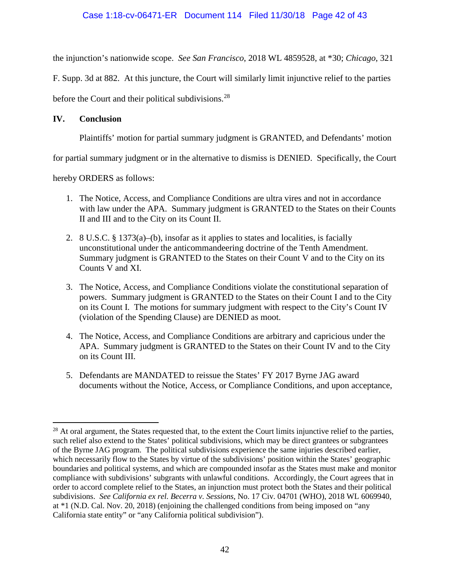the injunction's nationwide scope. *See San Francisco*, 2018 WL 4859528, at \*30; *Chicago*, 321

F. Supp. 3d at 882. At this juncture, the Court will similarly limit injunctive relief to the parties

before the Court and their political subdivisions.<sup>[28](#page-41-0)</sup>

# **IV. Conclusion**

Plaintiffs' motion for partial summary judgment is GRANTED, and Defendants' motion

for partial summary judgment or in the alternative to dismiss is DENIED. Specifically, the Court

hereby ORDERS as follows:

- 1. The Notice, Access, and Compliance Conditions are ultra vires and not in accordance with law under the APA. Summary judgment is GRANTED to the States on their Counts II and III and to the City on its Count II.
- 2. 8 U.S.C. § 1373(a)–(b), insofar as it applies to states and localities, is facially unconstitutional under the anticommandeering doctrine of the Tenth Amendment. Summary judgment is GRANTED to the States on their Count V and to the City on its Counts V and XI.
- 3. The Notice, Access, and Compliance Conditions violate the constitutional separation of powers. Summary judgment is GRANTED to the States on their Count I and to the City on its Count I. The motions for summary judgment with respect to the City's Count IV (violation of the Spending Clause) are DENIED as moot.
- 4. The Notice, Access, and Compliance Conditions are arbitrary and capricious under the APA. Summary judgment is GRANTED to the States on their Count IV and to the City on its Count III.
- 5. Defendants are MANDATED to reissue the States' FY 2017 Byrne JAG award documents without the Notice, Access, or Compliance Conditions, and upon acceptance,

<span id="page-41-0"></span><sup>&</sup>lt;sup>28</sup> At oral argument, the States requested that, to the extent the Court limits injunctive relief to the parties, such relief also extend to the States' political subdivisions, which may be direct grantees or subgrantees of the Byrne JAG program. The political subdivisions experience the same injuries described earlier, which necessarily flow to the States by virtue of the subdivisions' position within the States' geographic boundaries and political systems, and which are compounded insofar as the States must make and monitor compliance with subdivisions' subgrants with unlawful conditions. Accordingly, the Court agrees that in order to accord complete relief to the States, an injunction must protect both the States and their political subdivisions. *See California ex rel. Becerra v. Sessions*, No. 17 Civ. 04701 (WHO), 2018 WL 6069940, at \*1 (N.D. Cal. Nov. 20, 2018) (enjoining the challenged conditions from being imposed on "any California state entity" or "any California political subdivision").